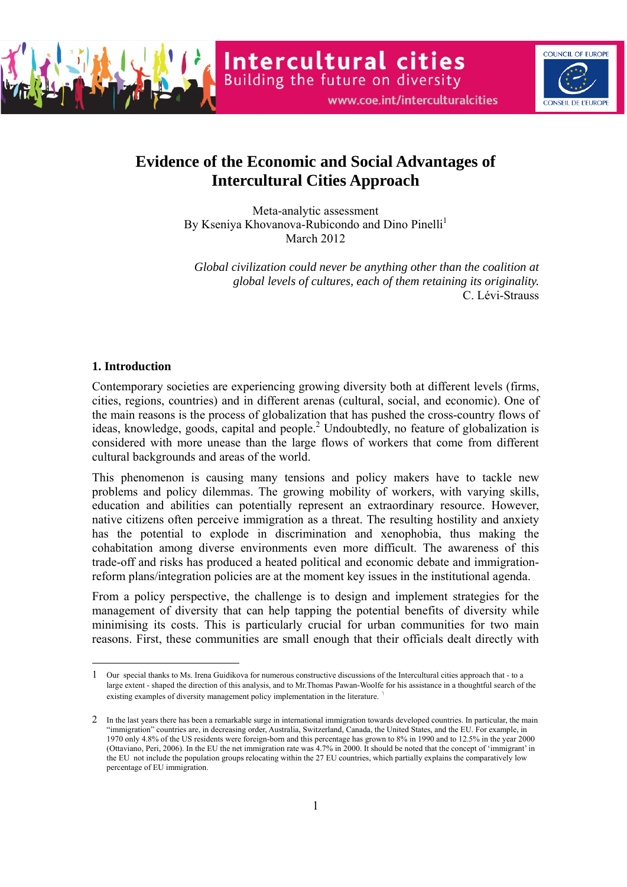

Intercultural cities<br>Building the future on diversity



# **Evidence of the Economic and Social Advantages of Intercultural Cities Approach**

Meta-analytic assessment By Kseniya Khovanova-Rubicondo and Dino Pinelli<sup>1</sup> March 2012

*Global civilization could never be anything other than the coalition at global levels of cultures, each of them retaining its originality.*  C. Lévi-Strauss

## **1. Introduction**

 $\overline{a}$ 

Contemporary societies are experiencing growing diversity both at different levels (firms, cities, regions, countries) and in different arenas (cultural, social, and economic). One of the main reasons is the process of globalization that has pushed the cross-country flows of ideas, knowledge, goods, capital and people.<sup>2</sup> Undoubtedly, no feature of globalization is considered with more unease than the large flows of workers that come from different cultural backgrounds and areas of the world.

This phenomenon is causing many tensions and policy makers have to tackle new problems and policy dilemmas. The growing mobility of workers, with varying skills, education and abilities can potentially represent an extraordinary resource. However, native citizens often perceive immigration as a threat. The resulting hostility and anxiety has the potential to explode in discrimination and xenophobia, thus making the cohabitation among diverse environments even more difficult. The awareness of this trade-off and risks has produced a heated political and economic debate and immigrationreform plans/integration policies are at the moment key issues in the institutional agenda.

From a policy perspective, the challenge is to design and implement strategies for the management of diversity that can help tapping the potential benefits of diversity while minimising its costs. This is particularly crucial for urban communities for two main reasons. First, these communities are small enough that their officials dealt directly with

<sup>1</sup> Our special thanks to Ms. Irena Guidikova for numerous constructive discussions of the Intercultural cities approach that - to a large extent - shaped the direction of this analysis, and to Mr.Thomas Pawan-Woolfe for his assistance in a thoughtful search of the existing examples of diversity management policy implementation in the literature.<sup>1</sup>

<sup>2</sup> In the last years there has been a remarkable surge in international immigration towards developed countries. In particular, the main "immigration" countries are, in decreasing order, Australia, Switzerland, Canada, the United States, and the EU. For example, in 1970 only 4.8% of the US residents were foreign-born and this percentage has grown to 8% in 1990 and to 12.5% in the year 2000 (Ottaviano, Peri, 2006). In the EU the net immigration rate was 4.7% in 2000. It should be noted that the concept of 'immigrant' in the EU not include the population groups relocating within the 27 EU countries, which partially explains the comparatively low percentage of EU immigration.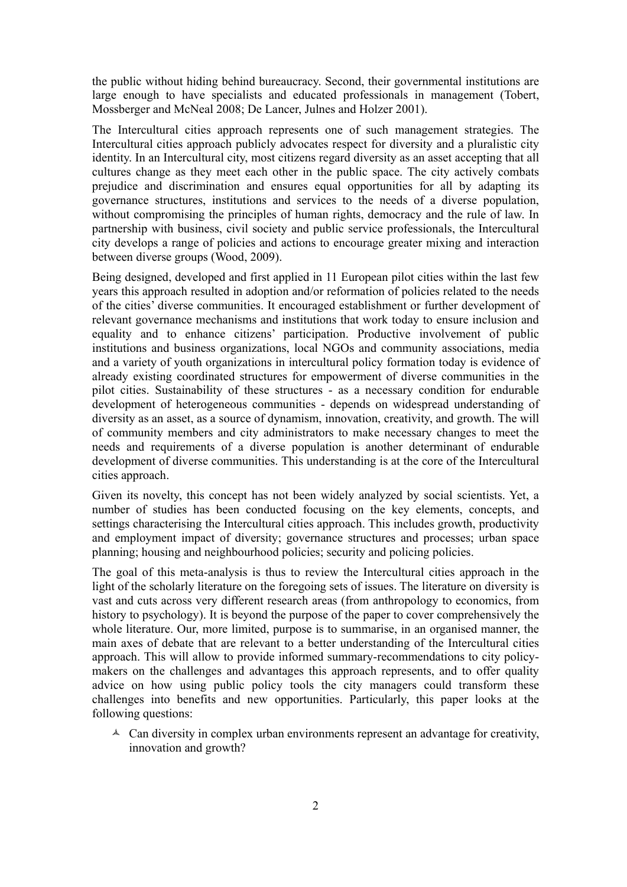the public without hiding behind bureaucracy. Second, their governmental institutions are large enough to have specialists and educated professionals in management (Tobert, Mossberger and McNeal 2008; De Lancer, Julnes and Holzer 2001).

The Intercultural cities approach represents one of such management strategies. The Intercultural cities approach publicly advocates respect for diversity and a pluralistic city identity. In an Intercultural city, most citizens regard diversity as an asset accepting that all cultures change as they meet each other in the public space. The city actively combats prejudice and discrimination and ensures equal opportunities for all by adapting its governance structures, institutions and services to the needs of a diverse population, without compromising the principles of human rights, democracy and the rule of law. In partnership with business, civil society and public service professionals, the Intercultural city develops a range of policies and actions to encourage greater mixing and interaction between diverse groups (Wood, 2009).

Being designed, developed and first applied in 11 European pilot cities within the last few years this approach resulted in adoption and/or reformation of policies related to the needs of the cities' diverse communities. It encouraged establishment or further development of relevant governance mechanisms and institutions that work today to ensure inclusion and equality and to enhance citizens' participation. Productive involvement of public institutions and business organizations, local NGOs and community associations, media and a variety of youth organizations in intercultural policy formation today is evidence of already existing coordinated structures for empowerment of diverse communities in the pilot cities. Sustainability of these structures - as a necessary condition for endurable development of heterogeneous communities - depends on widespread understanding of diversity as an asset, as a source of dynamism, innovation, creativity, and growth. The will of community members and city administrators to make necessary changes to meet the needs and requirements of a diverse population is another determinant of endurable development of diverse communities. This understanding is at the core of the Intercultural cities approach.

Given its novelty, this concept has not been widely analyzed by social scientists. Yet, a number of studies has been conducted focusing on the key elements, concepts, and settings characterising the Intercultural cities approach. This includes growth, productivity and employment impact of diversity; governance structures and processes; urban space planning; housing and neighbourhood policies; security and policing policies.

The goal of this meta-analysis is thus to review the Intercultural cities approach in the light of the scholarly literature on the foregoing sets of issues. The literature on diversity is vast and cuts across very different research areas (from anthropology to economics, from history to psychology). It is beyond the purpose of the paper to cover comprehensively the whole literature. Our, more limited, purpose is to summarise, in an organised manner, the main axes of debate that are relevant to a better understanding of the Intercultural cities approach. This will allow to provide informed summary-recommendations to city policymakers on the challenges and advantages this approach represents, and to offer quality advice on how using public policy tools the city managers could transform these challenges into benefits and new opportunities. Particularly, this paper looks at the following questions:

 $\triangle$  Can diversity in complex urban environments represent an advantage for creativity, innovation and growth?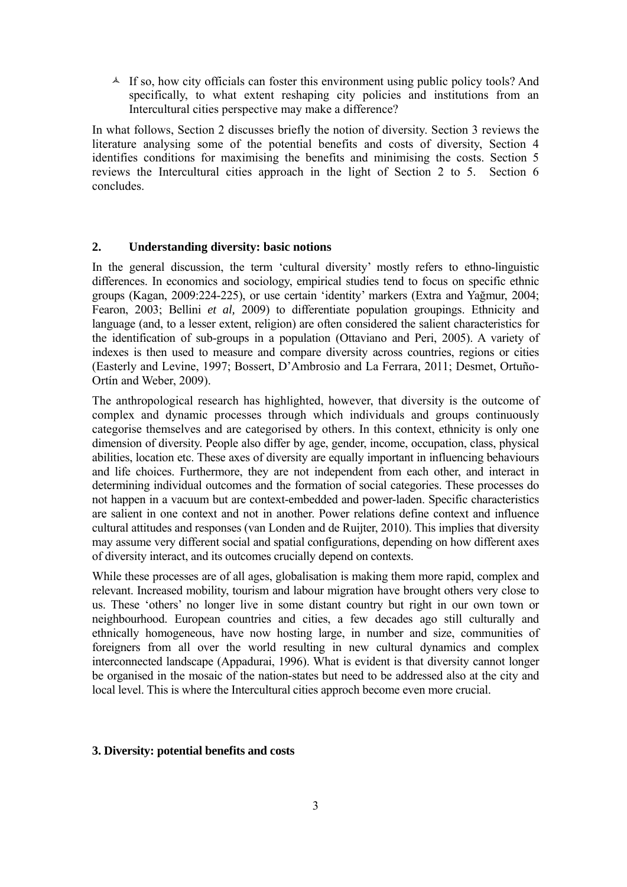$\triangle$  If so, how city officials can foster this environment using public policy tools? And specifically, to what extent reshaping city policies and institutions from an Intercultural cities perspective may make a difference?

In what follows, Section 2 discusses briefly the notion of diversity. Section 3 reviews the literature analysing some of the potential benefits and costs of diversity, Section 4 identifies conditions for maximising the benefits and minimising the costs. Section 5 reviews the Intercultural cities approach in the light of Section 2 to 5. Section 6 concludes.

## **2. Understanding diversity: basic notions**

In the general discussion, the term 'cultural diversity' mostly refers to ethno-linguistic differences. In economics and sociology, empirical studies tend to focus on specific ethnic groups (Kagan, 2009:224-225), or use certain 'identity' markers (Extra and Yağmur, 2004; Fearon, 2003; Bellini *et al,* 2009) to differentiate population groupings. Ethnicity and language (and, to a lesser extent, religion) are often considered the salient characteristics for the identification of sub-groups in a population (Ottaviano and Peri, 2005). A variety of indexes is then used to measure and compare diversity across countries, regions or cities (Easterly and Levine, 1997; Bossert, D'Ambrosio and La Ferrara, 2011; Desmet, Ortuño-Ortín and Weber, 2009).

The anthropological research has highlighted, however, that diversity is the outcome of complex and dynamic processes through which individuals and groups continuously categorise themselves and are categorised by others. In this context, ethnicity is only one dimension of diversity. People also differ by age, gender, income, occupation, class, physical abilities, location etc. These axes of diversity are equally important in influencing behaviours and life choices. Furthermore, they are not independent from each other, and interact in determining individual outcomes and the formation of social categories. These processes do not happen in a vacuum but are context-embedded and power-laden. Specific characteristics are salient in one context and not in another. Power relations define context and influence cultural attitudes and responses (van Londen and de Ruijter, 2010). This implies that diversity may assume very different social and spatial configurations, depending on how different axes of diversity interact, and its outcomes crucially depend on contexts.

While these processes are of all ages, globalisation is making them more rapid, complex and relevant. Increased mobility, tourism and labour migration have brought others very close to us. These 'others' no longer live in some distant country but right in our own town or neighbourhood. European countries and cities, a few decades ago still culturally and ethnically homogeneous, have now hosting large, in number and size, communities of foreigners from all over the world resulting in new cultural dynamics and complex interconnected landscape (Appadurai, 1996). What is evident is that diversity cannot longer be organised in the mosaic of the nation-states but need to be addressed also at the city and local level. This is where the Intercultural cities approch become even more crucial.

### **3. Diversity: potential benefits and costs**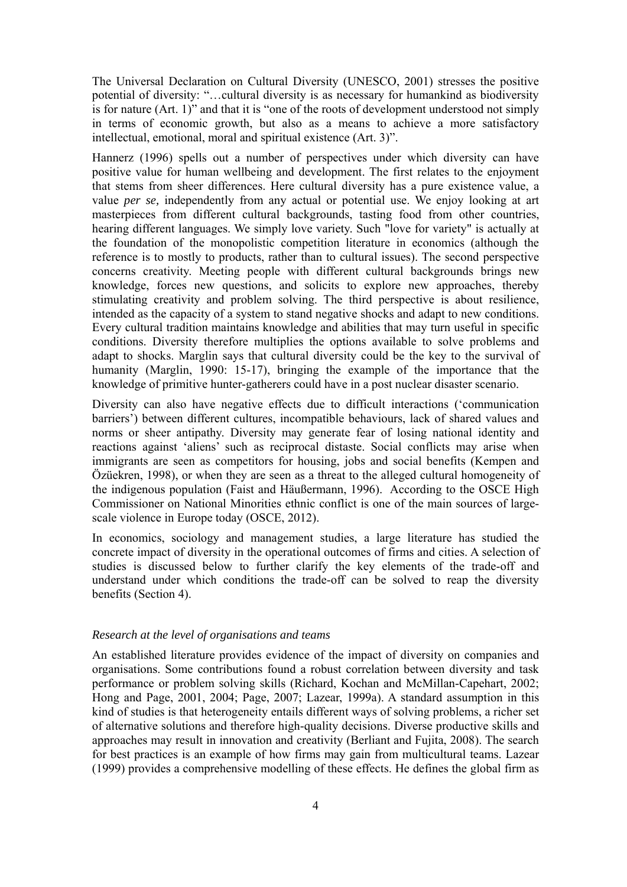The Universal Declaration on Cultural Diversity (UNESCO, 2001) stresses the positive potential of diversity: "…cultural diversity is as necessary for humankind as biodiversity is for nature (Art. 1)" and that it is "one of the roots of development understood not simply in terms of economic growth, but also as a means to achieve a more satisfactory intellectual, emotional, moral and spiritual existence (Art. 3)".

Hannerz (1996) spells out a number of perspectives under which diversity can have positive value for human wellbeing and development. The first relates to the enjoyment that stems from sheer differences. Here cultural diversity has a pure existence value, a value *per se,* independently from any actual or potential use. We enjoy looking at art masterpieces from different cultural backgrounds, tasting food from other countries, hearing different languages. We simply love variety. Such "love for variety" is actually at the foundation of the monopolistic competition literature in economics (although the reference is to mostly to products, rather than to cultural issues). The second perspective concerns creativity. Meeting people with different cultural backgrounds brings new knowledge, forces new questions, and solicits to explore new approaches, thereby stimulating creativity and problem solving. The third perspective is about resilience, intended as the capacity of a system to stand negative shocks and adapt to new conditions. Every cultural tradition maintains knowledge and abilities that may turn useful in specific conditions. Diversity therefore multiplies the options available to solve problems and adapt to shocks. Marglin says that cultural diversity could be the key to the survival of humanity (Marglin, 1990: 15-17), bringing the example of the importance that the knowledge of primitive hunter-gatherers could have in a post nuclear disaster scenario.

Diversity can also have negative effects due to difficult interactions ('communication barriers') between different cultures, incompatible behaviours, lack of shared values and norms or sheer antipathy. Diversity may generate fear of losing national identity and reactions against 'aliens' such as reciprocal distaste. Social conflicts may arise when immigrants are seen as competitors for housing, jobs and social benefits (Kempen and Özüekren, 1998), or when they are seen as a threat to the alleged cultural homogeneity of the indigenous population (Faist and Häußermann, 1996). According to the OSCE High Commissioner on National Minorities ethnic conflict is one of the main sources of largescale violence in Europe today (OSCE, 2012).

In economics, sociology and management studies, a large literature has studied the concrete impact of diversity in the operational outcomes of firms and cities. A selection of studies is discussed below to further clarify the key elements of the trade-off and understand under which conditions the trade-off can be solved to reap the diversity benefits (Section 4).

## *Research at the level of organisations and teams*

An established literature provides evidence of the impact of diversity on companies and organisations. Some contributions found a robust correlation between diversity and task performance or problem solving skills (Richard, Kochan and McMillan-Capehart, 2002; Hong and Page, 2001, 2004; Page, 2007; Lazear, 1999a). A standard assumption in this kind of studies is that heterogeneity entails different ways of solving problems, a richer set of alternative solutions and therefore high-quality decisions. Diverse productive skills and approaches may result in innovation and creativity (Berliant and Fujita, 2008). The search for best practices is an example of how firms may gain from multicultural teams. Lazear (1999) provides a comprehensive modelling of these effects. He defines the global firm as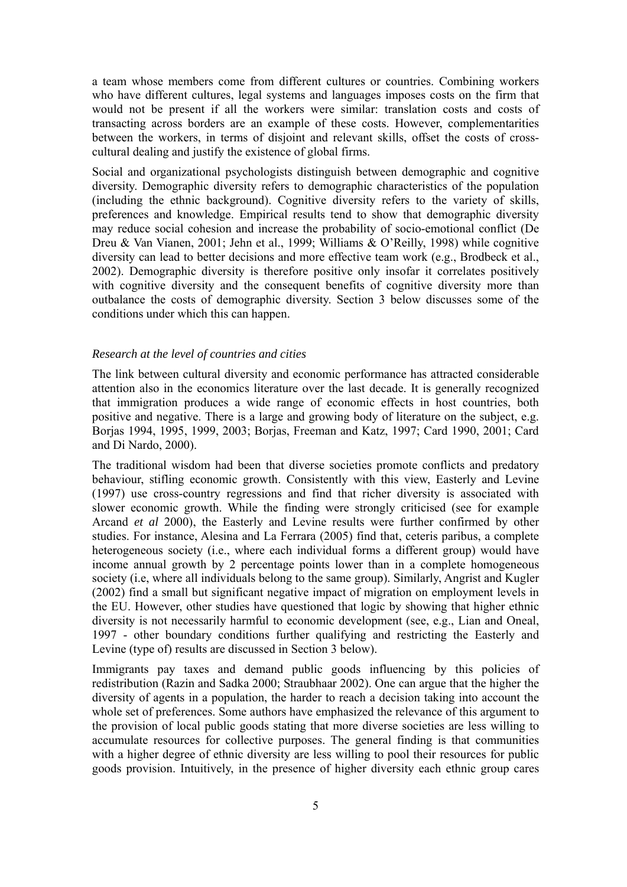a team whose members come from different cultures or countries. Combining workers who have different cultures, legal systems and languages imposes costs on the firm that would not be present if all the workers were similar: translation costs and costs of transacting across borders are an example of these costs. However, complementarities between the workers, in terms of disjoint and relevant skills, offset the costs of crosscultural dealing and justify the existence of global firms.

Social and organizational psychologists distinguish between demographic and cognitive diversity. Demographic diversity refers to demographic characteristics of the population (including the ethnic background). Cognitive diversity refers to the variety of skills, preferences and knowledge. Empirical results tend to show that demographic diversity may reduce social cohesion and increase the probability of socio-emotional conflict (De Dreu & Van Vianen, 2001; Jehn et al., 1999; Williams & O'Reilly, 1998) while cognitive diversity can lead to better decisions and more effective team work (e.g., Brodbeck et al., 2002). Demographic diversity is therefore positive only insofar it correlates positively with cognitive diversity and the consequent benefits of cognitive diversity more than outbalance the costs of demographic diversity. Section 3 below discusses some of the conditions under which this can happen.

## *Research at the level of countries and cities*

The link between cultural diversity and economic performance has attracted considerable attention also in the economics literature over the last decade. It is generally recognized that immigration produces a wide range of economic effects in host countries, both positive and negative. There is a large and growing body of literature on the subject, e.g. Borjas 1994, 1995, 1999, 2003; Borjas, Freeman and Katz, 1997; Card 1990, 2001; Card and Di Nardo, 2000).

The traditional wisdom had been that diverse societies promote conflicts and predatory behaviour, stifling economic growth. Consistently with this view, Easterly and Levine (1997) use cross-country regressions and find that richer diversity is associated with slower economic growth. While the finding were strongly criticised (see for example Arcand *et al* 2000), the Easterly and Levine results were further confirmed by other studies. For instance, Alesina and La Ferrara (2005) find that, ceteris paribus, a complete heterogeneous society (i.e., where each individual forms a different group) would have income annual growth by 2 percentage points lower than in a complete homogeneous society (i.e, where all individuals belong to the same group). Similarly, Angrist and Kugler (2002) find a small but significant negative impact of migration on employment levels in the EU. However, other studies have questioned that logic by showing that higher ethnic diversity is not necessarily harmful to economic development (see, e.g., Lian and Oneal, 1997 - other boundary conditions further qualifying and restricting the Easterly and Levine (type of) results are discussed in Section 3 below).

Immigrants pay taxes and demand public goods influencing by this policies of redistribution (Razin and Sadka 2000; Straubhaar 2002). One can argue that the higher the diversity of agents in a population, the harder to reach a decision taking into account the whole set of preferences. Some authors have emphasized the relevance of this argument to the provision of local public goods stating that more diverse societies are less willing to accumulate resources for collective purposes. The general finding is that communities with a higher degree of ethnic diversity are less willing to pool their resources for public goods provision. Intuitively, in the presence of higher diversity each ethnic group cares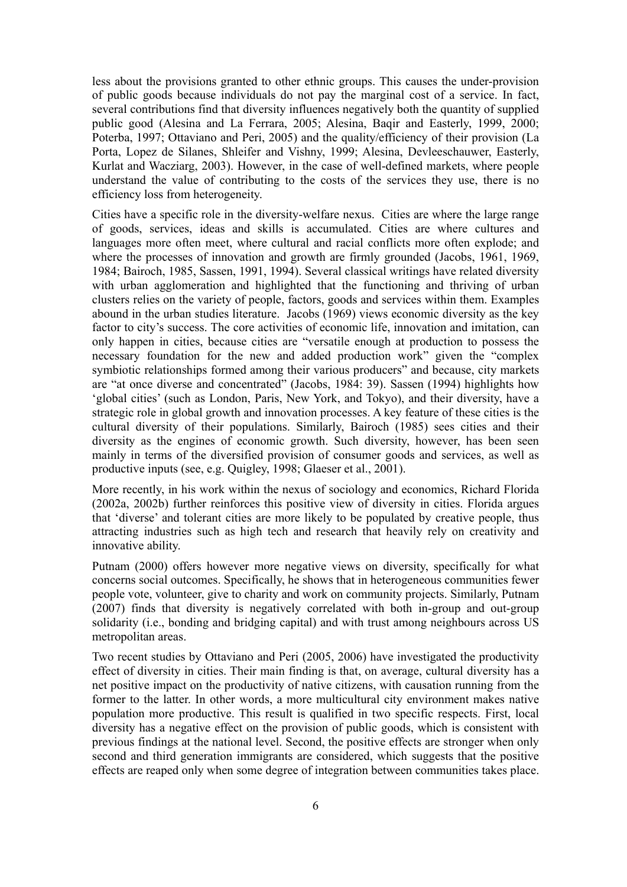less about the provisions granted to other ethnic groups. This causes the under-provision of public goods because individuals do not pay the marginal cost of a service. In fact, several contributions find that diversity influences negatively both the quantity of supplied public good (Alesina and La Ferrara, 2005; Alesina, Baqir and Easterly, 1999, 2000; Poterba, 1997; Ottaviano and Peri, 2005) and the quality/efficiency of their provision (La Porta, Lopez de Silanes, Shleifer and Vishny, 1999; Alesina, Devleeschauwer, Easterly, Kurlat and Wacziarg, 2003). However, in the case of well-defined markets, where people understand the value of contributing to the costs of the services they use, there is no efficiency loss from heterogeneity.

Cities have a specific role in the diversity-welfare nexus. Cities are where the large range of goods, services, ideas and skills is accumulated. Cities are where cultures and languages more often meet, where cultural and racial conflicts more often explode; and where the processes of innovation and growth are firmly grounded (Jacobs, 1961, 1969, 1984; Bairoch, 1985, Sassen, 1991, 1994). Several classical writings have related diversity with urban agglomeration and highlighted that the functioning and thriving of urban clusters relies on the variety of people, factors, goods and services within them. Examples abound in the urban studies literature. Jacobs (1969) views economic diversity as the key factor to city's success. The core activities of economic life, innovation and imitation, can only happen in cities, because cities are "versatile enough at production to possess the necessary foundation for the new and added production work" given the "complex symbiotic relationships formed among their various producers" and because, city markets are "at once diverse and concentrated" (Jacobs, 1984: 39). Sassen (1994) highlights how 'global cities' (such as London, Paris, New York, and Tokyo), and their diversity, have a strategic role in global growth and innovation processes. A key feature of these cities is the cultural diversity of their populations. Similarly, Bairoch (1985) sees cities and their diversity as the engines of economic growth. Such diversity, however, has been seen mainly in terms of the diversified provision of consumer goods and services, as well as productive inputs (see, e.g. Quigley, 1998; Glaeser et al., 2001).

More recently, in his work within the nexus of sociology and economics, Richard Florida (2002a, 2002b) further reinforces this positive view of diversity in cities. Florida argues that 'diverse' and tolerant cities are more likely to be populated by creative people, thus attracting industries such as high tech and research that heavily rely on creativity and innovative ability.

Putnam (2000) offers however more negative views on diversity, specifically for what concerns social outcomes. Specifically, he shows that in heterogeneous communities fewer people vote, volunteer, give to charity and work on community projects. Similarly, Putnam (2007) finds that diversity is negatively correlated with both in-group and out-group solidarity (i.e., bonding and bridging capital) and with trust among neighbours across US metropolitan areas.

Two recent studies by Ottaviano and Peri (2005, 2006) have investigated the productivity effect of diversity in cities. Their main finding is that, on average, cultural diversity has a net positive impact on the productivity of native citizens, with causation running from the former to the latter. In other words, a more multicultural city environment makes native population more productive. This result is qualified in two specific respects. First, local diversity has a negative effect on the provision of public goods, which is consistent with previous findings at the national level. Second, the positive effects are stronger when only second and third generation immigrants are considered, which suggests that the positive effects are reaped only when some degree of integration between communities takes place.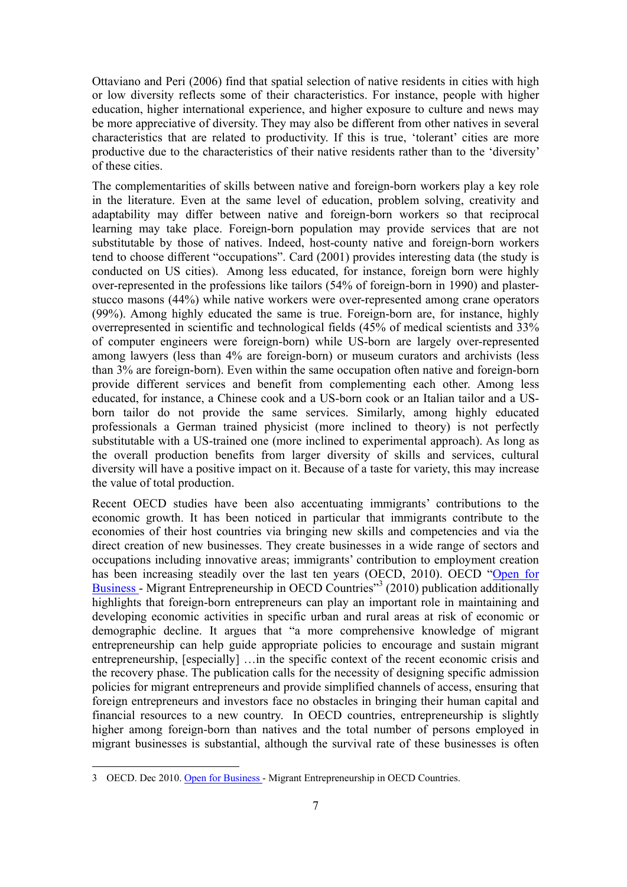Ottaviano and Peri (2006) find that spatial selection of native residents in cities with high or low diversity reflects some of their characteristics. For instance, people with higher education, higher international experience, and higher exposure to culture and news may be more appreciative of diversity. They may also be different from other natives in several characteristics that are related to productivity. If this is true, 'tolerant' cities are more productive due to the characteristics of their native residents rather than to the 'diversity' of these cities.

The complementarities of skills between native and foreign-born workers play a key role in the literature. Even at the same level of education, problem solving, creativity and adaptability may differ between native and foreign-born workers so that reciprocal learning may take place. Foreign-born population may provide services that are not substitutable by those of natives. Indeed, host-county native and foreign-born workers tend to choose different "occupations". Card (2001) provides interesting data (the study is conducted on US cities). Among less educated, for instance, foreign born were highly over-represented in the professions like tailors (54% of foreign-born in 1990) and plasterstucco masons (44%) while native workers were over-represented among crane operators (99%). Among highly educated the same is true. Foreign-born are, for instance, highly overrepresented in scientific and technological fields (45% of medical scientists and 33% of computer engineers were foreign-born) while US-born are largely over-represented among lawyers (less than 4% are foreign-born) or museum curators and archivists (less than 3% are foreign-born). Even within the same occupation often native and foreign-born provide different services and benefit from complementing each other. Among less educated, for instance, a Chinese cook and a US-born cook or an Italian tailor and a USborn tailor do not provide the same services. Similarly, among highly educated professionals a German trained physicist (more inclined to theory) is not perfectly substitutable with a US-trained one (more inclined to experimental approach). As long as the overall production benefits from larger diversity of skills and services, cultural diversity will have a positive impact on it. Because of a taste for variety, this may increase the value of total production.

Recent OECD studies have been also accentuating immigrants' contributions to the economic growth. It has been noticed in particular that immigrants contribute to the economies of their host countries via bringing new skills and competencies and via the direct creation of new businesses. They create businesses in a wide range of sectors and occupations including innovative areas; immigrants' contribution to employment creation has been increasing steadily over the last ten years (OECD, 2010). OECD "Open for Business - Migrant Entrepreneurship in OECD Countries<sup>33</sup> (2010) publication additionally highlights that foreign-born entrepreneurs can play an important role in maintaining and developing economic activities in specific urban and rural areas at risk of economic or demographic decline. It argues that "a more comprehensive knowledge of migrant entrepreneurship can help guide appropriate policies to encourage and sustain migrant entrepreneurship, [especially] …in the specific context of the recent economic crisis and the recovery phase. The publication calls for the necessity of designing specific admission policies for migrant entrepreneurs and provide simplified channels of access, ensuring that foreign entrepreneurs and investors face no obstacles in bringing their human capital and financial resources to a new country. In OECD countries, entrepreneurship is slightly higher among foreign-born than natives and the total number of persons employed in migrant businesses is substantial, although the survival rate of these businesses is often

<sup>3</sup> OECD. Dec 2010. Open for Business - Migrant Entrepreneurship in OECD Countries.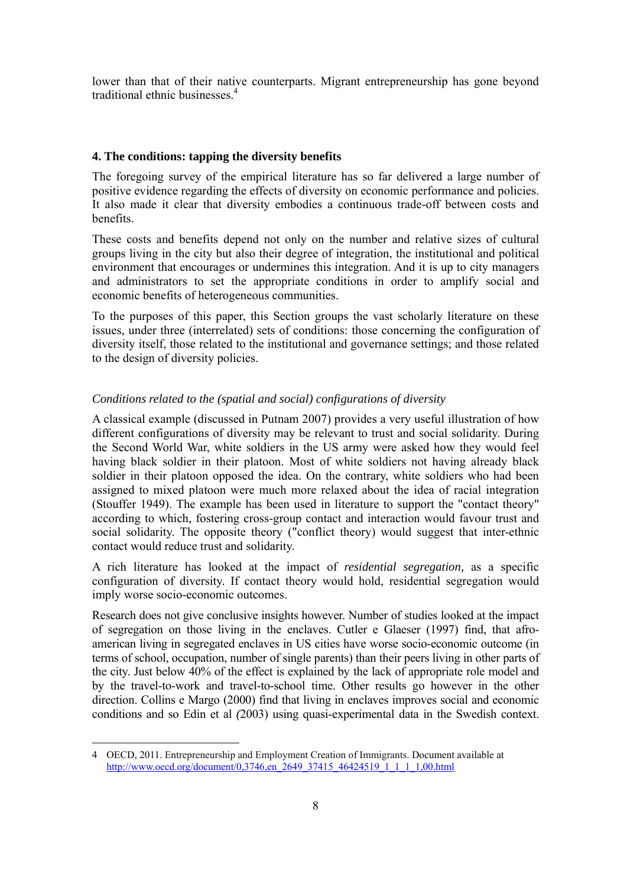lower than that of their native counterparts. Migrant entrepreneurship has gone beyond traditional ethnic businesses.<sup>4</sup>

### **4. The conditions: tapping the diversity benefits**

The foregoing survey of the empirical literature has so far delivered a large number of positive evidence regarding the effects of diversity on economic performance and policies. It also made it clear that diversity embodies a continuous trade-off between costs and benefits.

These costs and benefits depend not only on the number and relative sizes of cultural groups living in the city but also their degree of integration, the institutional and political environment that encourages or undermines this integration. And it is up to city managers and administrators to set the appropriate conditions in order to amplify social and economic benefits of heterogeneous communities.

To the purposes of this paper, this Section groups the vast scholarly literature on these issues, under three (interrelated) sets of conditions: those concerning the configuration of diversity itself, those related to the institutional and governance settings; and those related to the design of diversity policies.

# *Conditions related to the (spatial and social) configurations of diversity*

A classical example (discussed in Putnam 2007) provides a very useful illustration of how different configurations of diversity may be relevant to trust and social solidarity. During the Second World War, white soldiers in the US army were asked how they would feel having black soldier in their platoon. Most of white soldiers not having already black soldier in their platoon opposed the idea. On the contrary, white soldiers who had been assigned to mixed platoon were much more relaxed about the idea of racial integration (Stouffer 1949). The example has been used in literature to support the "contact theory" according to which, fostering cross-group contact and interaction would favour trust and social solidarity. The opposite theory ("conflict theory) would suggest that inter-ethnic contact would reduce trust and solidarity.

A rich literature has looked at the impact of *residential segregation,* as a specific configuration of diversity. If contact theory would hold, residential segregation would imply worse socio-economic outcomes.

Research does not give conclusive insights however. Number of studies looked at the impact of segregation on those living in the enclaves. Cutler e Glaeser (1997) find, that afroamerican living in segregated enclaves in US cities have worse socio-economic outcome (in terms of school, occupation, number of single parents) than their peers living in other parts of the city. Just below 40% of the effect is explained by the lack of appropriate role model and by the travel-to-work and travel-to-school time. Other results go however in the other direction. Collins e Margo (2000) find that living in enclaves improves social and economic conditions and so Edin et al *(*2003) using quasi-experimental data in the Swedish context.

<sup>4</sup> OECD, 2011. Entrepreneurship and Employment Creation of Immigrants. Document available at http://www.oecd.org/document/0,3746,en\_2649\_37415\_46424519\_1\_1\_1\_1,00.html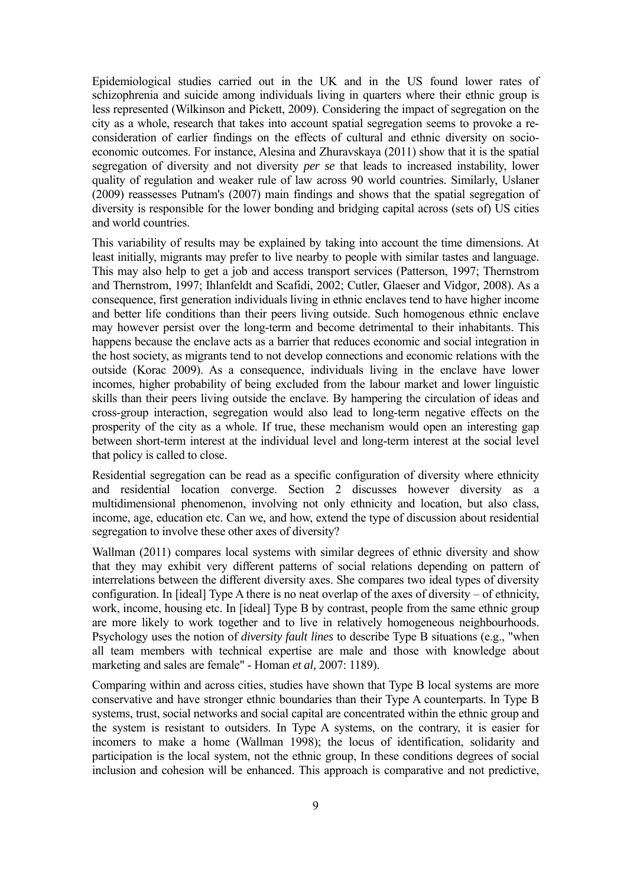Epidemiological studies carried out in the UK and in the US found lower rates of schizophrenia and suicide among individuals living in quarters where their ethnic group is less represented (Wilkinson and Pickett, 2009). Considering the impact of segregation on the city as a whole, research that takes into account spatial segregation seems to provoke a reconsideration of earlier findings on the effects of cultural and ethnic diversity on socioeconomic outcomes. For instance, Alesina and Zhuravskaya (2011) show that it is the spatial segregation of diversity and not diversity *per se* that leads to increased instability, lower quality of regulation and weaker rule of law across 90 world countries. Similarly, Uslaner (2009) reassesses Putnam's (2007) main findings and shows that the spatial segregation of diversity is responsible for the lower bonding and bridging capital across (sets of) US cities and world countries.

This variability of results may be explained by taking into account the time dimensions. At least initially, migrants may prefer to live nearby to people with similar tastes and language. This may also help to get a job and access transport services (Patterson, 1997; Thernstrom and Thernstrom, 1997; Ihlanfeldt and Scafidi, 2002; Cutler, Glaeser and Vidgor*,* 2008). As a consequence, first generation individuals living in ethnic enclaves tend to have higher income and better life conditions than their peers living outside. Such homogenous ethnic enclave may however persist over the long-term and become detrimental to their inhabitants. This happens because the enclave acts as a barrier that reduces economic and social integration in the host society, as migrants tend to not develop connections and economic relations with the outside (Korac 2009). As a consequence, individuals living in the enclave have lower incomes, higher probability of being excluded from the labour market and lower linguistic skills than their peers living outside the enclave. By hampering the circulation of ideas and cross-group interaction, segregation would also lead to long-term negative effects on the prosperity of the city as a whole. If true, these mechanism would open an interesting gap between short-term interest at the individual level and long-term interest at the social level that policy is called to close.

Residential segregation can be read as a specific configuration of diversity where ethnicity and residential location converge. Section 2 discusses however diversity as a multidimensional phenomenon, involving not only ethnicity and location, but also class, income, age, education etc. Can we, and how, extend the type of discussion about residential segregation to involve these other axes of diversity?

Wallman (2011) compares local systems with similar degrees of ethnic diversity and show that they may exhibit very different patterns of social relations depending on pattern of interrelations between the different diversity axes. She compares two ideal types of diversity configuration. In [ideal] Type A there is no neat overlap of the axes of diversity – of ethnicity, work, income, housing etc. In [ideal] Type B by contrast, people from the same ethnic group are more likely to work together and to live in relatively homogeneous neighbourhoods. Psychology uses the notion of *diversity fault lines* to describe Type B situations (e.g., "when all team members with technical expertise are male and those with knowledge about marketing and sales are female" - Homan *et al,* 2007: 1189).

Comparing within and across cities, studies have shown that Type B local systems are more conservative and have stronger ethnic boundaries than their Type A counterparts. In Type B systems, trust, social networks and social capital are concentrated within the ethnic group and the system is resistant to outsiders. In Type A systems, on the contrary, it is easier for incomers to make a home (Wallman 1998); the locus of identification, solidarity and participation is the local system, not the ethnic group, In these conditions degrees of social inclusion and cohesion will be enhanced. This approach is comparative and not predictive,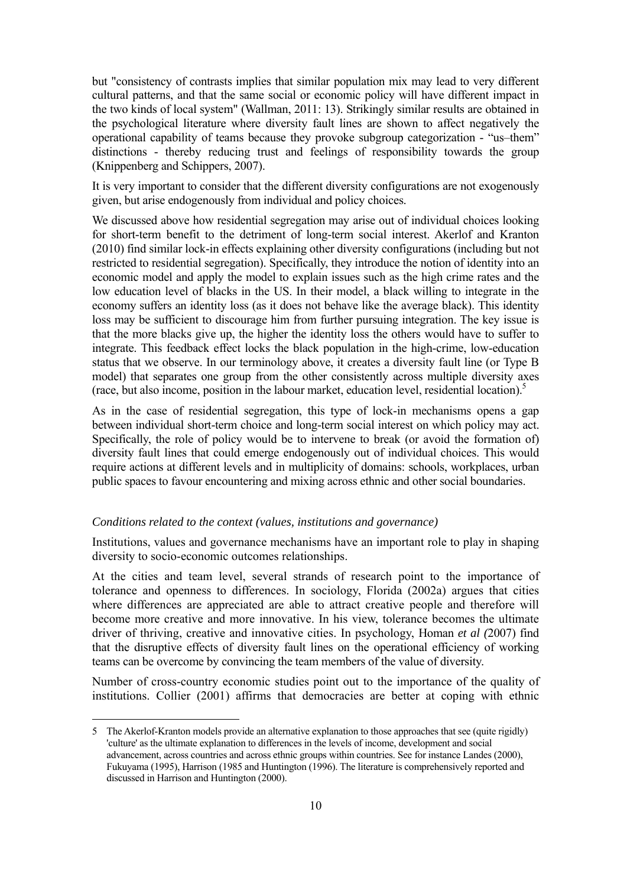but "consistency of contrasts implies that similar population mix may lead to very different cultural patterns, and that the same social or economic policy will have different impact in the two kinds of local system" (Wallman, 2011: 13). Strikingly similar results are obtained in the psychological literature where diversity fault lines are shown to affect negatively the operational capability of teams because they provoke subgroup categorization - "us–them" distinctions - thereby reducing trust and feelings of responsibility towards the group (Knippenberg and Schippers, 2007).

It is very important to consider that the different diversity configurations are not exogenously given, but arise endogenously from individual and policy choices.

We discussed above how residential segregation may arise out of individual choices looking for short-term benefit to the detriment of long-term social interest. Akerlof and Kranton (2010) find similar lock-in effects explaining other diversity configurations (including but not restricted to residential segregation). Specifically, they introduce the notion of identity into an economic model and apply the model to explain issues such as the high crime rates and the low education level of blacks in the US. In their model, a black willing to integrate in the economy suffers an identity loss (as it does not behave like the average black). This identity loss may be sufficient to discourage him from further pursuing integration. The key issue is that the more blacks give up, the higher the identity loss the others would have to suffer to integrate. This feedback effect locks the black population in the high-crime, low-education status that we observe. In our terminology above, it creates a diversity fault line (or Type B model) that separates one group from the other consistently across multiple diversity axes (race, but also income, position in the labour market, education level, residential location).5

As in the case of residential segregation, this type of lock-in mechanisms opens a gap between individual short-term choice and long-term social interest on which policy may act. Specifically, the role of policy would be to intervene to break (or avoid the formation of) diversity fault lines that could emerge endogenously out of individual choices. This would require actions at different levels and in multiplicity of domains: schools, workplaces, urban public spaces to favour encountering and mixing across ethnic and other social boundaries.

### *Conditions related to the context (values, institutions and governance)*

Institutions, values and governance mechanisms have an important role to play in shaping diversity to socio-economic outcomes relationships.

At the cities and team level, several strands of research point to the importance of tolerance and openness to differences. In sociology, Florida (2002a) argues that cities where differences are appreciated are able to attract creative people and therefore will become more creative and more innovative. In his view, tolerance becomes the ultimate driver of thriving, creative and innovative cities. In psychology, Homan *et al (*2007) find that the disruptive effects of diversity fault lines on the operational efficiency of working teams can be overcome by convincing the team members of the value of diversity.

Number of cross-country economic studies point out to the importance of the quality of institutions. Collier (2001) affirms that democracies are better at coping with ethnic

<sup>5</sup> The Akerlof-Kranton models provide an alternative explanation to those approaches that see (quite rigidly) 'culture' as the ultimate explanation to differences in the levels of income, development and social advancement, across countries and across ethnic groups within countries. See for instance Landes (2000), Fukuyama (1995), Harrison (1985 and Huntington (1996). The literature is comprehensively reported and discussed in Harrison and Huntington (2000).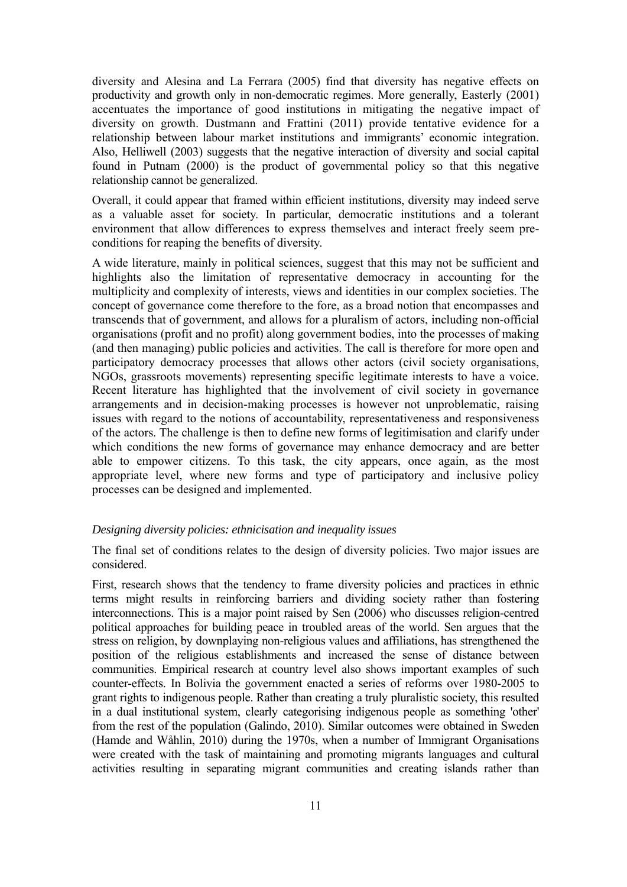diversity and Alesina and La Ferrara (2005) find that diversity has negative effects on productivity and growth only in non-democratic regimes. More generally, Easterly (2001) accentuates the importance of good institutions in mitigating the negative impact of diversity on growth. Dustmann and Frattini (2011) provide tentative evidence for a relationship between labour market institutions and immigrants' economic integration. Also, Helliwell (2003) suggests that the negative interaction of diversity and social capital found in Putnam (2000) is the product of governmental policy so that this negative relationship cannot be generalized.

Overall, it could appear that framed within efficient institutions, diversity may indeed serve as a valuable asset for society. In particular, democratic institutions and a tolerant environment that allow differences to express themselves and interact freely seem preconditions for reaping the benefits of diversity.

A wide literature, mainly in political sciences, suggest that this may not be sufficient and highlights also the limitation of representative democracy in accounting for the multiplicity and complexity of interests, views and identities in our complex societies. The concept of governance come therefore to the fore, as a broad notion that encompasses and transcends that of government, and allows for a pluralism of actors, including non-official organisations (profit and no profit) along government bodies, into the processes of making (and then managing) public policies and activities. The call is therefore for more open and participatory democracy processes that allows other actors (civil society organisations, NGOs, grassroots movements) representing specific legitimate interests to have a voice. Recent literature has highlighted that the involvement of civil society in governance arrangements and in decision-making processes is however not unproblematic, raising issues with regard to the notions of accountability, representativeness and responsiveness of the actors. The challenge is then to define new forms of legitimisation and clarify under which conditions the new forms of governance may enhance democracy and are better able to empower citizens. To this task, the city appears, once again, as the most appropriate level, where new forms and type of participatory and inclusive policy processes can be designed and implemented.

### *Designing diversity policies: ethnicisation and inequality issues*

The final set of conditions relates to the design of diversity policies. Two major issues are considered.

First, research shows that the tendency to frame diversity policies and practices in ethnic terms might results in reinforcing barriers and dividing society rather than fostering interconnections. This is a major point raised by Sen (2006) who discusses religion-centred political approaches for building peace in troubled areas of the world. Sen argues that the stress on religion, by downplaying non-religious values and affiliations, has strengthened the position of the religious establishments and increased the sense of distance between communities. Empirical research at country level also shows important examples of such counter-effects. In Bolivia the government enacted a series of reforms over 1980-2005 to grant rights to indigenous people. Rather than creating a truly pluralistic society, this resulted in a dual institutional system, clearly categorising indigenous people as something 'other' from the rest of the population (Galindo, 2010). Similar outcomes were obtained in Sweden (Hamde and Wåhlin, 2010) during the 1970s, when a number of Immigrant Organisations were created with the task of maintaining and promoting migrants languages and cultural activities resulting in separating migrant communities and creating islands rather than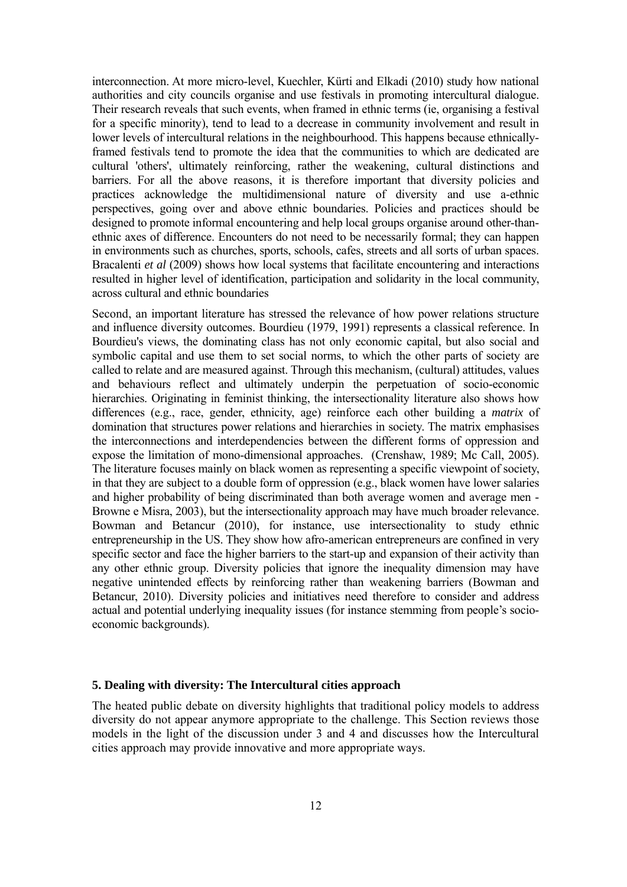interconnection. At more micro-level, Kuechler, Kürti and Elkadi (2010) study how national authorities and city councils organise and use festivals in promoting intercultural dialogue. Their research reveals that such events, when framed in ethnic terms (ie, organising a festival for a specific minority), tend to lead to a decrease in community involvement and result in lower levels of intercultural relations in the neighbourhood. This happens because ethnicallyframed festivals tend to promote the idea that the communities to which are dedicated are cultural 'others', ultimately reinforcing, rather the weakening, cultural distinctions and barriers. For all the above reasons, it is therefore important that diversity policies and practices acknowledge the multidimensional nature of diversity and use a-ethnic perspectives, going over and above ethnic boundaries. Policies and practices should be designed to promote informal encountering and help local groups organise around other-thanethnic axes of difference. Encounters do not need to be necessarily formal; they can happen in environments such as churches, sports, schools, cafes, streets and all sorts of urban spaces. Bracalenti *et al* (2009) shows how local systems that facilitate encountering and interactions resulted in higher level of identification, participation and solidarity in the local community, across cultural and ethnic boundaries

Second, an important literature has stressed the relevance of how power relations structure and influence diversity outcomes. Bourdieu (1979, 1991) represents a classical reference. In Bourdieu's views, the dominating class has not only economic capital, but also social and symbolic capital and use them to set social norms, to which the other parts of society are called to relate and are measured against. Through this mechanism, (cultural) attitudes, values and behaviours reflect and ultimately underpin the perpetuation of socio-economic hierarchies. Originating in feminist thinking, the intersectionality literature also shows how differences (e.g., race, gender, ethnicity, age) reinforce each other building a *matrix* of domination that structures power relations and hierarchies in society. The matrix emphasises the interconnections and interdependencies between the different forms of oppression and expose the limitation of mono-dimensional approaches. (Crenshaw, 1989; Mc Call, 2005). The literature focuses mainly on black women as representing a specific viewpoint of society, in that they are subject to a double form of oppression (e.g., black women have lower salaries and higher probability of being discriminated than both average women and average men - Browne e Misra, 2003), but the intersectionality approach may have much broader relevance. Bowman and Betancur (2010), for instance, use intersectionality to study ethnic entrepreneurship in the US. They show how afro-american entrepreneurs are confined in very specific sector and face the higher barriers to the start-up and expansion of their activity than any other ethnic group. Diversity policies that ignore the inequality dimension may have negative unintended effects by reinforcing rather than weakening barriers (Bowman and Betancur, 2010). Diversity policies and initiatives need therefore to consider and address actual and potential underlying inequality issues (for instance stemming from people's socioeconomic backgrounds).

#### **5. Dealing with diversity: The Intercultural cities approach**

The heated public debate on diversity highlights that traditional policy models to address diversity do not appear anymore appropriate to the challenge. This Section reviews those models in the light of the discussion under 3 and 4 and discusses how the Intercultural cities approach may provide innovative and more appropriate ways.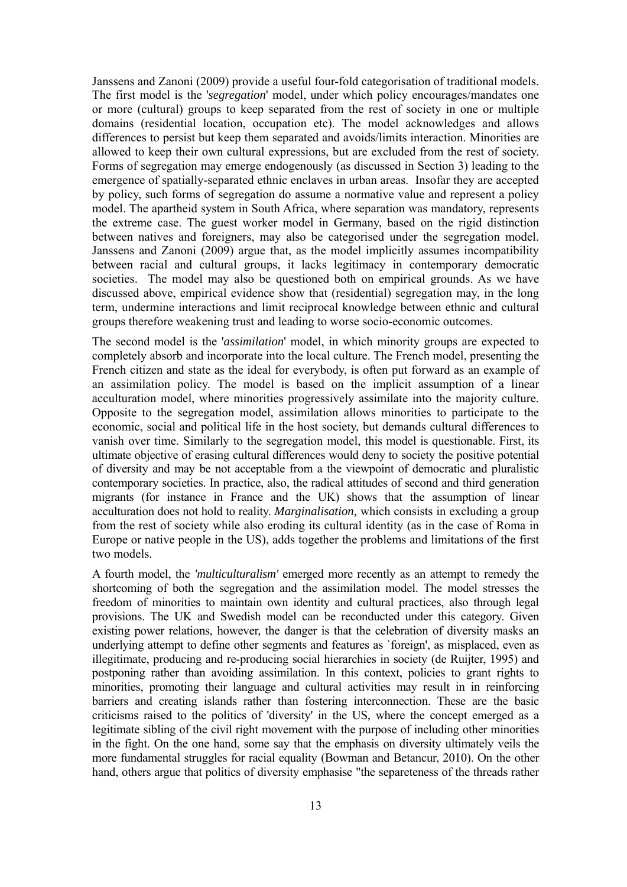Janssens and Zanoni (2009) provide a useful four-fold categorisation of traditional models. The first model is the '*segregation*' model, under which policy encourages/mandates one or more (cultural) groups to keep separated from the rest of society in one or multiple domains (residential location, occupation etc). The model acknowledges and allows differences to persist but keep them separated and avoids/limits interaction. Minorities are allowed to keep their own cultural expressions, but are excluded from the rest of society. Forms of segregation may emerge endogenously (as discussed in Section 3) leading to the emergence of spatially-separated ethnic enclaves in urban areas. Insofar they are accepted by policy, such forms of segregation do assume a normative value and represent a policy model. The apartheid system in South Africa, where separation was mandatory, represents the extreme case. The guest worker model in Germany, based on the rigid distinction between natives and foreigners, may also be categorised under the segregation model. Janssens and Zanoni (2009) argue that, as the model implicitly assumes incompatibility between racial and cultural groups, it lacks legitimacy in contemporary democratic societies. The model may also be questioned both on empirical grounds. As we have discussed above, empirical evidence show that (residential) segregation may, in the long term, undermine interactions and limit reciprocal knowledge between ethnic and cultural groups therefore weakening trust and leading to worse socio-economic outcomes.

The second model is the '*assimilation*' model, in which minority groups are expected to completely absorb and incorporate into the local culture. The French model, presenting the French citizen and state as the ideal for everybody, is often put forward as an example of an assimilation policy. The model is based on the implicit assumption of a linear acculturation model, where minorities progressively assimilate into the majority culture. Opposite to the segregation model, assimilation allows minorities to participate to the economic, social and political life in the host society, but demands cultural differences to vanish over time. Similarly to the segregation model, this model is questionable. First, its ultimate objective of erasing cultural differences would deny to society the positive potential of diversity and may be not acceptable from a the viewpoint of democratic and pluralistic contemporary societies. In practice, also, the radical attitudes of second and third generation migrants (for instance in France and the UK) shows that the assumption of linear acculturation does not hold to reality. *Marginalisation,* which consists in excluding a group from the rest of society while also eroding its cultural identity (as in the case of Roma in Europe or native people in the US), adds together the problems and limitations of the first two models.

A fourth model, the *'multiculturalism'* emerged more recently as an attempt to remedy the shortcoming of both the segregation and the assimilation model. The model stresses the freedom of minorities to maintain own identity and cultural practices, also through legal provisions. The UK and Swedish model can be reconducted under this category. Given existing power relations, however, the danger is that the celebration of diversity masks an underlying attempt to define other segments and features as `foreign', as misplaced, even as illegitimate, producing and re-producing social hierarchies in society (de Ruijter, 1995) and postponing rather than avoiding assimilation. In this context, policies to grant rights to minorities, promoting their language and cultural activities may result in in reinforcing barriers and creating islands rather than fostering interconnection. These are the basic criticisms raised to the politics of 'diversity' in the US, where the concept emerged as a legitimate sibling of the civil right movement with the purpose of including other minorities in the fight. On the one hand, some say that the emphasis on diversity ultimately veils the more fundamental struggles for racial equality (Bowman and Betancur, 2010). On the other hand, others argue that politics of diversity emphasise "the separeteness of the threads rather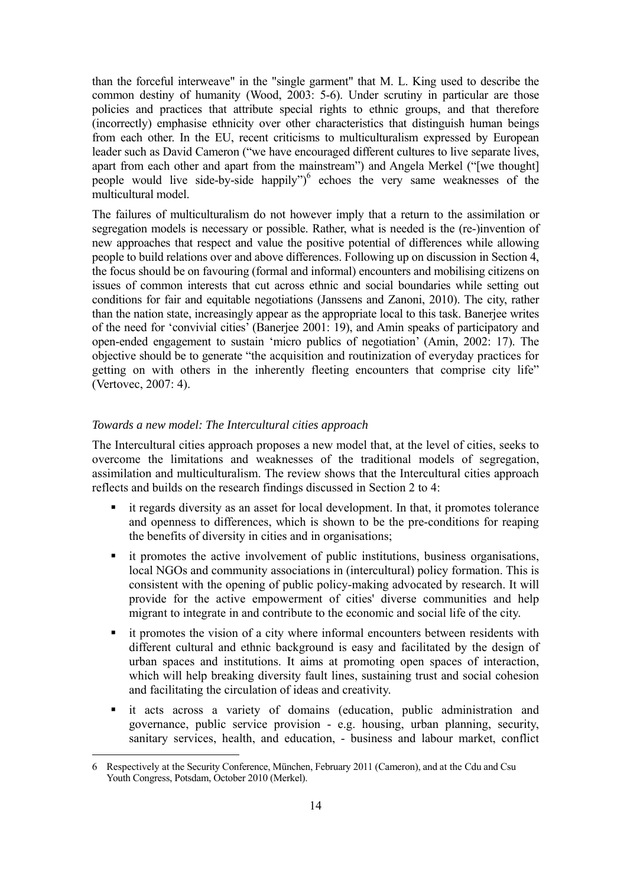than the forceful interweave" in the "single garment" that M. L. King used to describe the common destiny of humanity (Wood, 2003: 5-6). Under scrutiny in particular are those policies and practices that attribute special rights to ethnic groups, and that therefore (incorrectly) emphasise ethnicity over other characteristics that distinguish human beings from each other. In the EU, recent criticisms to multiculturalism expressed by European leader such as David Cameron ("we have encouraged different cultures to live separate lives, apart from each other and apart from the mainstream") and Angela Merkel ("[we thought] people would live side-by-side happily")<sup>6</sup> echoes the very same weaknesses of the multicultural model.

The failures of multiculturalism do not however imply that a return to the assimilation or segregation models is necessary or possible. Rather, what is needed is the (re-)invention of new approaches that respect and value the positive potential of differences while allowing people to build relations over and above differences. Following up on discussion in Section 4, the focus should be on favouring (formal and informal) encounters and mobilising citizens on issues of common interests that cut across ethnic and social boundaries while setting out conditions for fair and equitable negotiations (Janssens and Zanoni, 2010). The city, rather than the nation state, increasingly appear as the appropriate local to this task. Banerjee writes of the need for 'convivial cities' (Banerjee 2001: 19), and Amin speaks of participatory and open-ended engagement to sustain 'micro publics of negotiation' (Amin, 2002: 17). The objective should be to generate "the acquisition and routinization of everyday practices for getting on with others in the inherently fleeting encounters that comprise city life" (Vertovec, 2007: 4).

#### *Towards a new model: The Intercultural cities approach*

The Intercultural cities approach proposes a new model that, at the level of cities, seeks to overcome the limitations and weaknesses of the traditional models of segregation, assimilation and multiculturalism. The review shows that the Intercultural cities approach reflects and builds on the research findings discussed in Section 2 to 4:

- it regards diversity as an asset for local development. In that, it promotes tolerance and openness to differences, which is shown to be the pre-conditions for reaping the benefits of diversity in cities and in organisations;
- it promotes the active involvement of public institutions, business organisations, local NGOs and community associations in (intercultural) policy formation. This is consistent with the opening of public policy-making advocated by research. It will provide for the active empowerment of cities' diverse communities and help migrant to integrate in and contribute to the economic and social life of the city.
- it promotes the vision of a city where informal encounters between residents with different cultural and ethnic background is easy and facilitated by the design of urban spaces and institutions. It aims at promoting open spaces of interaction, which will help breaking diversity fault lines, sustaining trust and social cohesion and facilitating the circulation of ideas and creativity.
- it acts across a variety of domains (education, public administration and governance, public service provision - e.g. housing, urban planning, security, sanitary services, health, and education, - business and labour market, conflict

<sup>6</sup> Respectively at the Security Conference, München, February 2011 (Cameron), and at the Cdu and Csu Youth Congress, Potsdam, October 2010 (Merkel).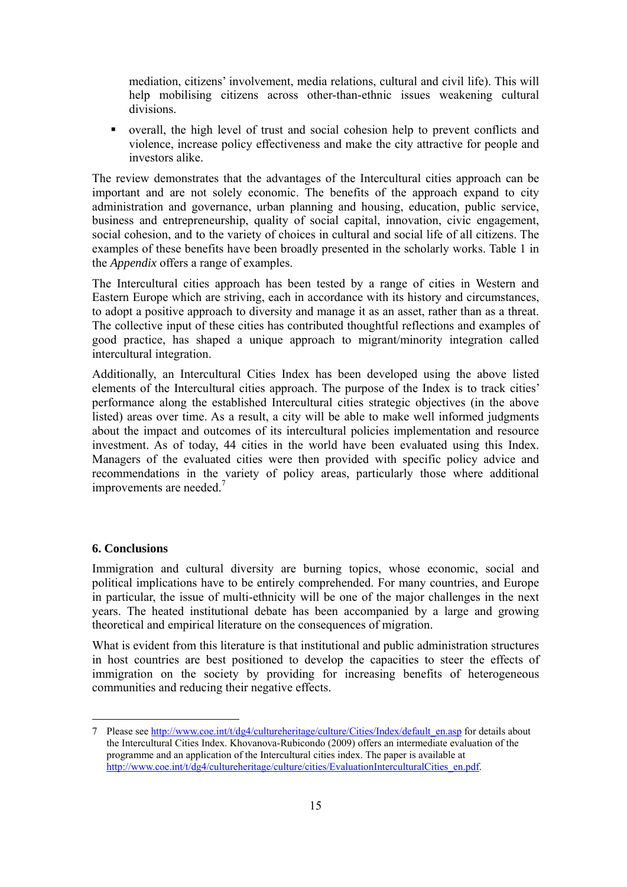mediation, citizens' involvement, media relations, cultural and civil life). This will help mobilising citizens across other-than-ethnic issues weakening cultural divisions.

 overall, the high level of trust and social cohesion help to prevent conflicts and violence, increase policy effectiveness and make the city attractive for people and investors alike.

The review demonstrates that the advantages of the Intercultural cities approach can be important and are not solely economic. The benefits of the approach expand to city administration and governance, urban planning and housing, education, public service, business and entrepreneurship, quality of social capital, innovation, civic engagement, social cohesion, and to the variety of choices in cultural and social life of all citizens. The examples of these benefits have been broadly presented in the scholarly works. Table 1 in the *Appendix* offers a range of examples.

The Intercultural cities approach has been tested by a range of cities in Western and Eastern Europe which are striving, each in accordance with its history and circumstances, to adopt a positive approach to diversity and manage it as an asset, rather than as a threat. The collective input of these cities has contributed thoughtful reflections and examples of good practice, has shaped a unique approach to migrant/minority integration called intercultural integration.

Additionally, an Intercultural Cities Index has been developed using the above listed elements of the Intercultural cities approach. The purpose of the Index is to track cities' performance along the established Intercultural cities strategic objectives (in the above listed) areas over time. As a result, a city will be able to make well informed judgments about the impact and outcomes of its intercultural policies implementation and resource investment. As of today, 44 cities in the world have been evaluated using this Index. Managers of the evaluated cities were then provided with specific policy advice and recommendations in the variety of policy areas, particularly those where additional improvements are needed. $<sup>7</sup>$ </sup>

### **6. Conclusions**

Immigration and cultural diversity are burning topics, whose economic, social and political implications have to be entirely comprehended. For many countries, and Europe in particular, the issue of multi-ethnicity will be one of the major challenges in the next years. The heated institutional debate has been accompanied by a large and growing theoretical and empirical literature on the consequences of migration.

What is evident from this literature is that institutional and public administration structures in host countries are best positioned to develop the capacities to steer the effects of immigration on the society by providing for increasing benefits of heterogeneous communities and reducing their negative effects.

<sup>7</sup> Please see http://www.coe.int/t/dg4/cultureheritage/culture/Cities/Index/default\_en.asp for details about the Intercultural Cities Index. Khovanova-Rubicondo (2009) offers an intermediate evaluation of the programme and an application of the Intercultural cities index. The paper is available at http://www.coe.int/t/dg4/cultureheritage/culture/cities/EvaluationInterculturalCities\_en.pdf.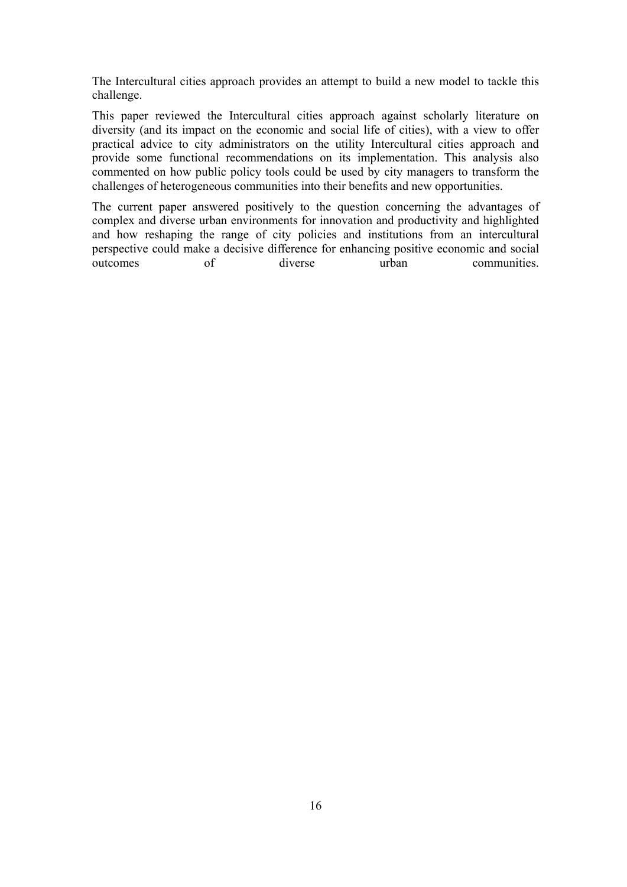The Intercultural cities approach provides an attempt to build a new model to tackle this challenge.

This paper reviewed the Intercultural cities approach against scholarly literature on diversity (and its impact on the economic and social life of cities), with a view to offer practical advice to city administrators on the utility Intercultural cities approach and provide some functional recommendations on its implementation. This analysis also commented on how public policy tools could be used by city managers to transform the challenges of heterogeneous communities into their benefits and new opportunities.

The current paper answered positively to the question concerning the advantages of complex and diverse urban environments for innovation and productivity and highlighted and how reshaping the range of city policies and institutions from an intercultural perspective could make a decisive difference for enhancing positive economic and social outcomes of diverse urban communities.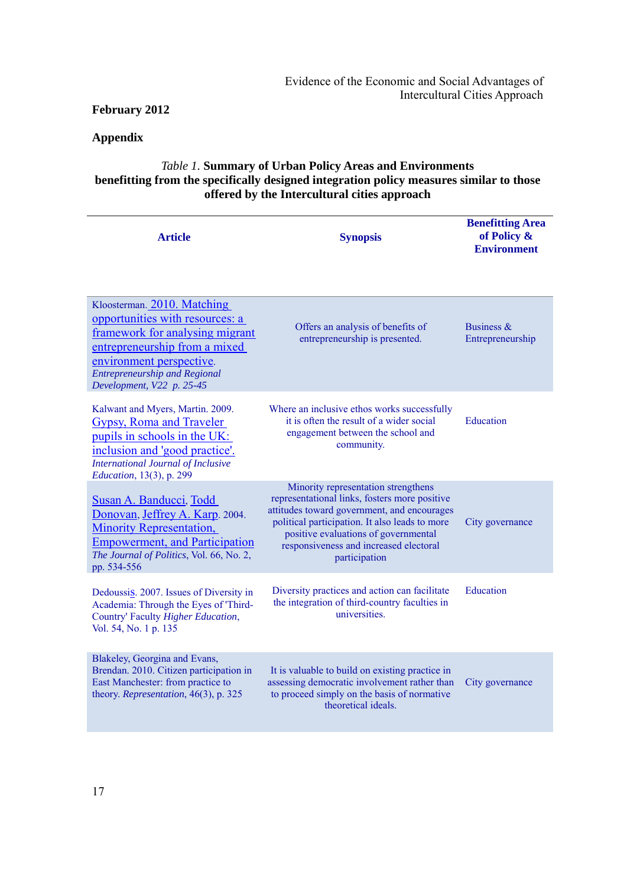# **Appendix**

# *Table 1.* **Summary of Urban Policy Areas and Environments benefitting from the specifically designed integration policy measures similar to those offered by the Intercultural cities approach**

| <b>Article</b>                                                                                                                                                                                                                      | <b>Synopsis</b>                                                                                                                                                                                                                                                                          | <b>Benefitting Area</b><br>of Policy &<br><b>Environment</b> |
|-------------------------------------------------------------------------------------------------------------------------------------------------------------------------------------------------------------------------------------|------------------------------------------------------------------------------------------------------------------------------------------------------------------------------------------------------------------------------------------------------------------------------------------|--------------------------------------------------------------|
| Kloosterman. 2010. Matching<br>opportunities with resources: a<br>framework for analysing migrant<br>entrepreneurship from a mixed<br>environment perspective.<br><b>Entrepreneurship and Regional</b><br>Development, V22 p. 25-45 | Offers an analysis of benefits of<br>entrepreneurship is presented.                                                                                                                                                                                                                      | Business $\&$<br>Entrepreneurship                            |
| Kalwant and Myers, Martin. 2009.<br><b>Gypsy, Roma and Traveler</b><br>pupils in schools in the UK:<br>inclusion and 'good practice'.<br><b>International Journal of Inclusive</b><br><i>Education</i> , 13(3), p. 299              | Where an inclusive ethos works successfully<br>it is often the result of a wider social<br>engagement between the school and<br>community.                                                                                                                                               | Education                                                    |
| Susan A. Banducci, Todd<br>Donovan, Jeffrey A. Karp. 2004.<br><b>Minority Representation,</b><br><b>Empowerment, and Participation</b><br>The Journal of Politics, Vol. 66, No. 2,<br>pp. 534-556                                   | Minority representation strengthens<br>representational links, fosters more positive<br>attitudes toward government, and encourages<br>political participation. It also leads to more<br>positive evaluations of governmental<br>responsiveness and increased electoral<br>participation | City governance                                              |
| Dedoussis. 2007. Issues of Diversity in<br>Academia: Through the Eyes of 'Third-<br>Country' Faculty Higher Education,<br>Vol. 54, No. 1 p. 135                                                                                     | Diversity practices and action can facilitate<br>the integration of third-country faculties in<br>universities.                                                                                                                                                                          | Education                                                    |
| Blakeley, Georgina and Evans,<br>Brendan. 2010. Citizen participation in<br>East Manchester: from practice to<br>theory. Representation, 46(3), p. 325                                                                              | It is valuable to build on existing practice in<br>assessing democratic involvement rather than<br>to proceed simply on the basis of normative<br>theoretical ideals.                                                                                                                    | City governance                                              |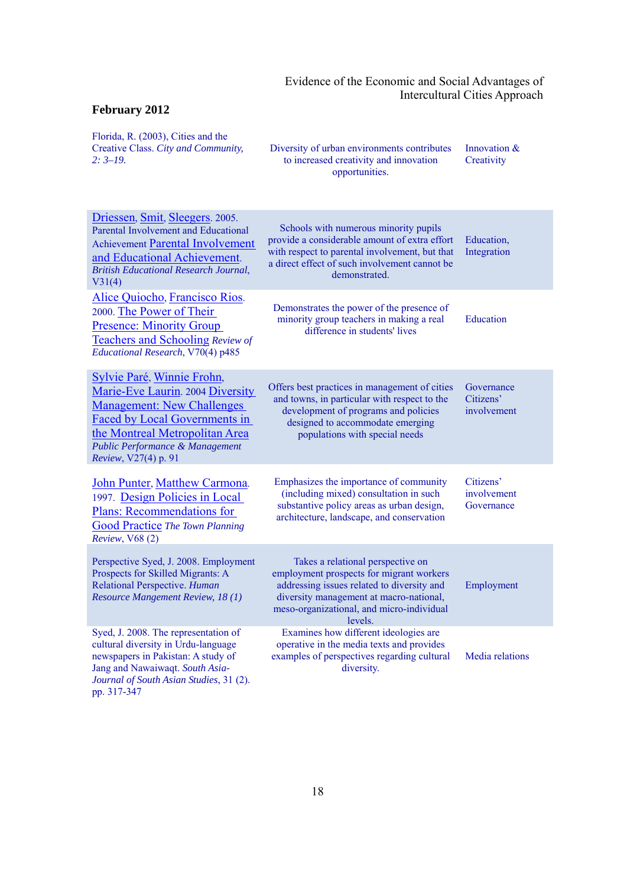| Florida, R. (2003), Cities and the<br>Creative Class. City and Community,<br>$2:3-19.$                                                                                                                                            | Diversity of urban environments contributes<br>to increased creativity and innovation<br>opportunities.                                                                                                                        | Innovation &<br>Creativity             |
|-----------------------------------------------------------------------------------------------------------------------------------------------------------------------------------------------------------------------------------|--------------------------------------------------------------------------------------------------------------------------------------------------------------------------------------------------------------------------------|----------------------------------------|
| Driessen, Smit, Sleegers. 2005.<br>Parental Involvement and Educational<br><b>Achievement Parental Involvement</b><br>and Educational Achievement.<br><b>British Educational Research Journal,</b><br>V31(4)                      | Schools with numerous minority pupils<br>provide a considerable amount of extra effort<br>with respect to parental involvement, but that<br>a direct effect of such involvement cannot be<br>demonstrated.                     | Education,<br>Integration              |
| Alice Quiocho, Francisco Rios.<br>2000. The Power of Their<br><b>Presence: Minority Group</b><br>Teachers and Schooling Review of<br>Educational Research, V70(4) p485                                                            | Demonstrates the power of the presence of<br>minority group teachers in making a real<br>difference in students' lives                                                                                                         | Education                              |
| Sylvie Paré, Winnie Frohn,<br>Marie-Eve Laurin. 2004 Diversity<br><b>Management: New Challenges</b><br>Faced by Local Governments in<br>the Montreal Metropolitan Area<br>Public Performance & Management<br>Review, V27(4) p. 91 | Offers best practices in management of cities<br>and towns, in particular with respect to the<br>development of programs and policies<br>designed to accommodate emerging<br>populations with special needs                    | Governance<br>Citizens'<br>involvement |
| John Punter, Matthew Carmona.<br>1997. Design Policies in Local<br><b>Plans: Recommendations for</b><br><b>Good Practice The Town Planning</b><br>Review, V68 (2)                                                                 | Emphasizes the importance of community<br>(including mixed) consultation in such<br>substantive policy areas as urban design,<br>architecture, landscape, and conservation                                                     | Citizens'<br>involvement<br>Governance |
| Perspective Syed, J. 2008. Employment<br>Prospects for Skilled Migrants: A<br>Relational Perspective. Human<br>Resource Mangement Review, 18 (1)                                                                                  | Takes a relational perspective on<br>employment prospects for migrant workers<br>addressing issues related to diversity and<br>diversity management at macro-national,<br>meso-organizational, and micro-individual<br>levels. | Employment                             |
| Syed, J. 2008. The representation of<br>cultural diversity in Urdu-language<br>newspapers in Pakistan: A study of<br>Jang and Nawaiwaqt. South Asia-<br>Journal of South Asian Studies, 31 (2).<br>pp. 317-347                    | Examines how different ideologies are<br>operative in the media texts and provides<br>examples of perspectives regarding cultural<br>diversity.                                                                                | Media relations                        |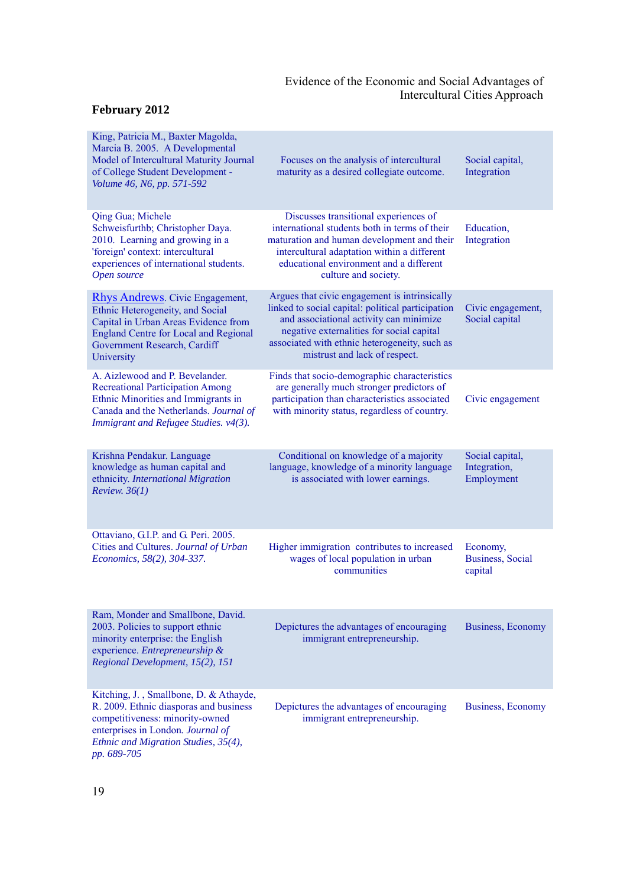| King, Patricia M., Baxter Magolda,<br>Marcia B. 2005. A Developmental<br>Model of Intercultural Maturity Journal<br>of College Student Development -<br>Volume 46, N6, pp. 571-592                               | Focuses on the analysis of intercultural<br>maturity as a desired collegiate outcome.                                                                                                                                                                                        | Social capital,<br>Integration                  |
|------------------------------------------------------------------------------------------------------------------------------------------------------------------------------------------------------------------|------------------------------------------------------------------------------------------------------------------------------------------------------------------------------------------------------------------------------------------------------------------------------|-------------------------------------------------|
| Qing Gua; Michele<br>Schweisfurthb; Christopher Daya.<br>2010. Learning and growing in a<br>'foreign' context: intercultural<br>experiences of international students.<br>Open source                            | Discusses transitional experiences of<br>international students both in terms of their<br>maturation and human development and their<br>intercultural adaptation within a different<br>educational environment and a different<br>culture and society.                       | Education,<br>Integration                       |
| <b>Rhys Andrews.</b> Civic Engagement,<br>Ethnic Heterogeneity, and Social<br>Capital in Urban Areas Evidence from<br><b>England Centre for Local and Regional</b><br>Government Research, Cardiff<br>University | Argues that civic engagement is intrinsically<br>linked to social capital: political participation<br>and associational activity can minimize<br>negative externalities for social capital<br>associated with ethnic heterogeneity, such as<br>mistrust and lack of respect. | Civic engagement,<br>Social capital             |
| A. Aizlewood and P. Bevelander.<br><b>Recreational Participation Among</b><br>Ethnic Minorities and Immigrants in<br>Canada and the Netherlands. Journal of<br>Immigrant and Refugee Studies. v4(3).             | Finds that socio-demographic characteristics<br>are generally much stronger predictors of<br>participation than characteristics associated<br>with minority status, regardless of country.                                                                                   | Civic engagement                                |
| Krishna Pendakur. Language<br>knowledge as human capital and<br>ethnicity. International Migration<br>Review. $36(1)$                                                                                            | Conditional on knowledge of a majority<br>language, knowledge of a minority language<br>is associated with lower earnings.                                                                                                                                                   | Social capital,<br>Integration,<br>Employment   |
| Ottaviano, G.I.P. and G. Peri. 2005.<br>Cities and Cultures. Journal of Urban<br>Economics, 58(2), 304-337.                                                                                                      | Higher immigration contributes to increased<br>wages of local population in urban<br>communities                                                                                                                                                                             | Economy,<br><b>Business</b> , Social<br>capital |
| Ram, Monder and Smallbone, David.<br>2003. Policies to support ethnic<br>minority enterprise: the English<br>experience. Entrepreneurship &<br>Regional Development, 15(2), 151                                  | Depictures the advantages of encouraging<br>immigrant entrepreneurship.                                                                                                                                                                                                      | Business, Economy                               |
| Kitching, J., Smallbone, D. & Athayde,<br>R. 2009. Ethnic diasporas and business<br>competitiveness: minority-owned<br>enterprises in London. Journal of<br>Ethnic and Migration Studies, 35(4),<br>pp. 689-705  | Depictures the advantages of encouraging<br>immigrant entrepreneurship.                                                                                                                                                                                                      | <b>Business</b> , Economy                       |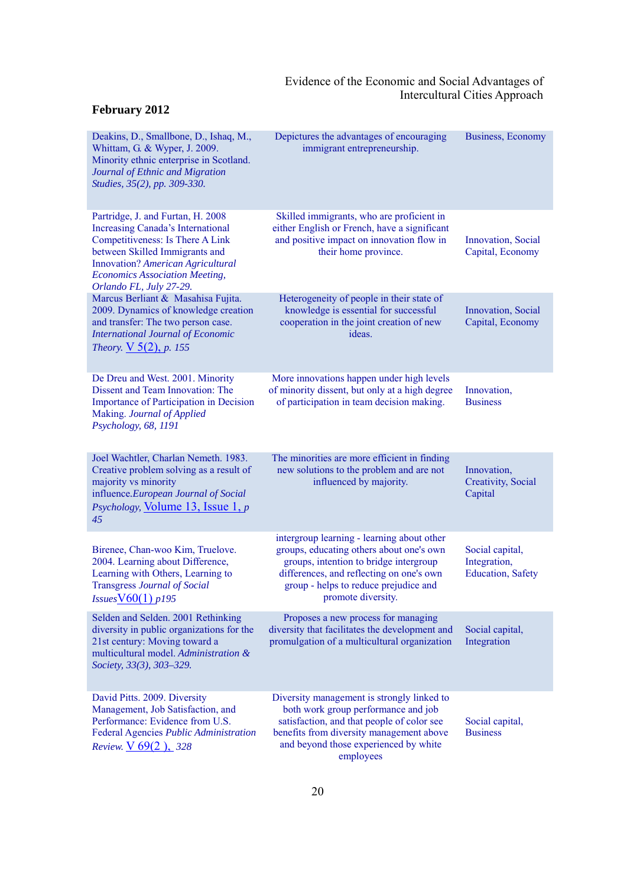| Deakins, D., Smallbone, D., Ishaq, M.,<br>Whittam, G. & Wyper, J. 2009.<br>Minority ethnic enterprise in Scotland.<br>Journal of Ethnic and Migration<br>Studies, 35(2), pp. 309-330.                                                                                      | Depictures the advantages of encouraging<br>immigrant entrepreneurship.                                                                                                                                                                     | Business, Economy                                            |
|----------------------------------------------------------------------------------------------------------------------------------------------------------------------------------------------------------------------------------------------------------------------------|---------------------------------------------------------------------------------------------------------------------------------------------------------------------------------------------------------------------------------------------|--------------------------------------------------------------|
| Partridge, J. and Furtan, H. 2008<br><b>Increasing Canada's International</b><br><b>Competitiveness: Is There A Link</b><br>between Skilled Immigrants and<br><b>Innovation?</b> American Agricultural<br><b>Economics Association Meeting,</b><br>Orlando FL, July 27-29. | Skilled immigrants, who are proficient in<br>either English or French, have a significant<br>and positive impact on innovation flow in<br>their home province.                                                                              | Innovation, Social<br>Capital, Economy                       |
| Marcus Berliant & Masahisa Fujita.<br>2009. Dynamics of knowledge creation<br>and transfer: The two person case.<br><b>International Journal of Economic</b><br><i>Theory.</i> $\sqrt{5(2)}$ , <i>p.</i> 155                                                               | Heterogeneity of people in their state of<br>knowledge is essential for successful<br>cooperation in the joint creation of new<br>ideas.                                                                                                    | Innovation, Social<br>Capital, Economy                       |
| De Dreu and West. 2001. Minority<br>Dissent and Team Innovation: The<br>Importance of Participation in Decision<br>Making. Journal of Applied<br>Psychology, 68, 1191                                                                                                      | More innovations happen under high levels<br>of minority dissent, but only at a high degree<br>of participation in team decision making.                                                                                                    | Innovation,<br><b>Business</b>                               |
| Joel Wachtler, Charlan Nemeth. 1983.<br>Creative problem solving as a result of<br>majority vs minority<br>influence. European Journal of Social<br>Psychology, Volume 13, Issue 1, p<br>45                                                                                | The minorities are more efficient in finding<br>new solutions to the problem and are not<br>influenced by majority.                                                                                                                         | Innovation,<br>Creativity, Social<br>Capital                 |
| Birenee, Chan-woo Kim, Truelove.<br>2004. Learning about Difference,<br>Learning with Others, Learning to<br><b>Transgress Journal of Social</b><br>$Issues$ $\underline{V60(1)}$ p195                                                                                     | intergroup learning - learning about other<br>groups, educating others about one's own<br>groups, intention to bridge intergroup<br>differences, and reflecting on one's own<br>group - helps to reduce prejudice and<br>promote diversity. | Social capital,<br>Integration,<br><b>Education</b> , Safety |
| Selden and Selden. 2001 Rethinking<br>diversity in public organizations for the<br>21st century: Moving toward a<br>multicultural model. Administration &<br>Society, 33(3), 303-329.                                                                                      | Proposes a new process for managing<br>diversity that facilitates the development and<br>promulgation of a multicultural organization                                                                                                       | Social capital,<br>Integration                               |
| David Pitts. 2009. Diversity<br>Management, Job Satisfaction, and<br>Performance: Evidence from U.S.<br>Federal Agencies Public Administration<br>Review. V 69(2), 328                                                                                                     | Diversity management is strongly linked to<br>both work group performance and job<br>satisfaction, and that people of color see<br>benefits from diversity management above<br>and beyond those experienced by white<br>employees           | Social capital,<br><b>Business</b>                           |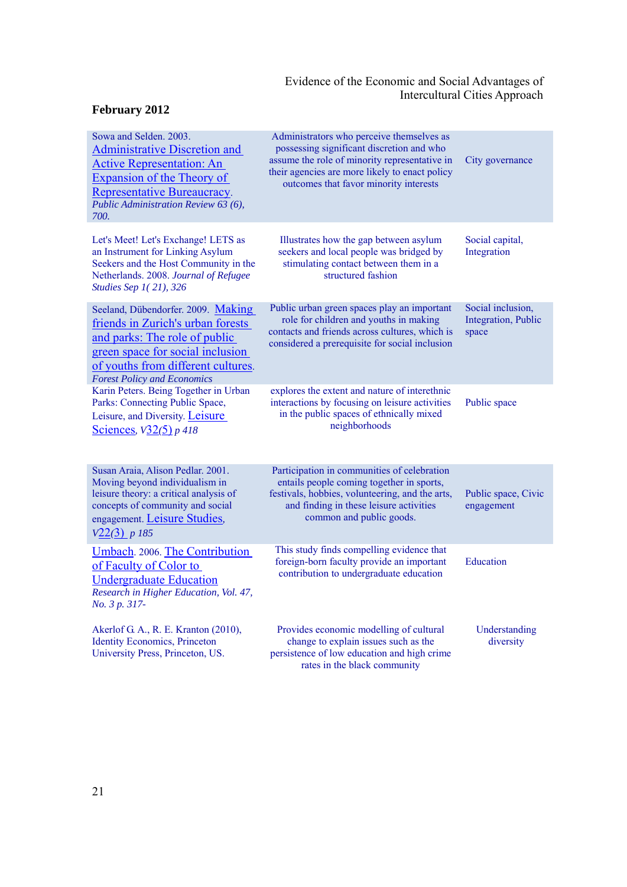| Sowa and Selden. 2003.<br><b>Administrative Discretion and</b><br><b>Active Representation: An</b><br>Expansion of the Theory of<br>Representative Bureaucracy.<br>Public Administration Review 63 (6),<br>700.          | Administrators who perceive themselves as<br>possessing significant discretion and who<br>assume the role of minority representative in<br>their agencies are more likely to enact policy<br>outcomes that favor minority interests | City governance                                   |
|--------------------------------------------------------------------------------------------------------------------------------------------------------------------------------------------------------------------------|-------------------------------------------------------------------------------------------------------------------------------------------------------------------------------------------------------------------------------------|---------------------------------------------------|
| Let's Meet! Let's Exchange! LETS as<br>an Instrument for Linking Asylum<br>Seekers and the Host Community in the<br>Netherlands. 2008. Journal of Refugee<br>Studies Sep 1(21), 326                                      | Illustrates how the gap between asylum<br>seekers and local people was bridged by<br>stimulating contact between them in a<br>structured fashion                                                                                    | Social capital,<br>Integration                    |
| Seeland, Dübendorfer. 2009. Making<br>friends in Zurich's urban forests<br>and parks: The role of public<br>green space for social inclusion<br>of youths from different cultures.<br><b>Forest Policy and Economics</b> | Public urban green spaces play an important<br>role for children and youths in making<br>contacts and friends across cultures, which is<br>considered a prerequisite for social inclusion                                           | Social inclusion,<br>Integration, Public<br>space |
| Karin Peters. Being Together in Urban<br>Parks: Connecting Public Space,<br>Leisure, and Diversity. Leisure<br>Sciences, $\sqrt{32(5)} p 418$                                                                            | explores the extent and nature of interethnic<br>interactions by focusing on leisure activities<br>in the public spaces of ethnically mixed<br>neighborhoods                                                                        | Public space                                      |
| Susan Araia, Alison Pedlar. 2001.<br>Moving beyond individualism in<br>leisure theory: a critical analysis of<br>concepts of community and social<br>engagement. Leisure Studies,<br>$V22(3)$ p 185                      | Participation in communities of celebration<br>entails people coming together in sports,<br>festivals, hobbies, volunteering, and the arts,<br>and finding in these leisure activities<br>common and public goods.                  | Public space, Civic<br>engagement                 |
| Umbach. 2006. The Contribution<br>of Faculty of Color to<br><b>Undergraduate Education</b><br>Research in Higher Education, Vol. 47,<br>No. 3 p. 317-                                                                    | This study finds compelling evidence that<br>foreign-born faculty provide an important<br>contribution to undergraduate education                                                                                                   | Education                                         |
| Akerlof G. A., R. E. Kranton (2010),<br><b>Identity Economics</b> , Princeton<br>University Press, Princeton, US.                                                                                                        | Provides economic modelling of cultural<br>change to explain issues such as the<br>persistence of low education and high crime<br>rates in the black community                                                                      | Understanding<br>diversity                        |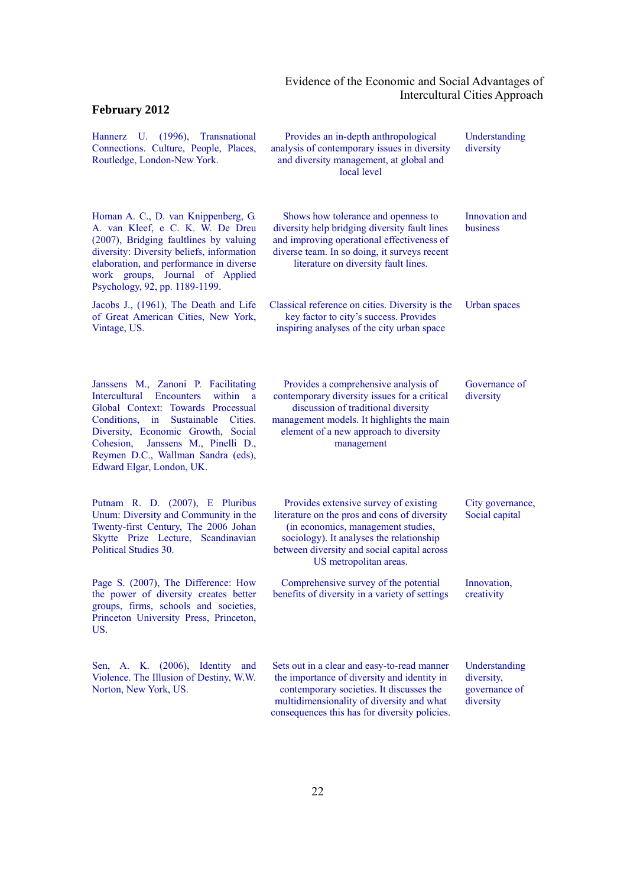| Hannerz U. (1996), Transnational<br>Connections. Culture, People, Places,<br>Routledge, London-New York.                                                                                                                                                                                                                             | Provides an in-depth anthropological<br>analysis of contemporary issues in diversity<br>and diversity management, at global and<br>local level                                                                                                   | Understanding<br>diversity                                |
|--------------------------------------------------------------------------------------------------------------------------------------------------------------------------------------------------------------------------------------------------------------------------------------------------------------------------------------|--------------------------------------------------------------------------------------------------------------------------------------------------------------------------------------------------------------------------------------------------|-----------------------------------------------------------|
| Homan A. C., D. van Knippenberg, G.<br>A. van Kleef, e C. K. W. De Dreu<br>(2007), Bridging faultlines by valuing<br>diversity: Diversity beliefs, information<br>elaboration, and performance in diverse<br>work groups, Journal of Applied<br>Psychology, 92, pp. 1189-1199.                                                       | Shows how tolerance and openness to<br>diversity help bridging diversity fault lines<br>and improving operational effectiveness of<br>diverse team. In so doing, it surveys recent<br>literature on diversity fault lines.                       | Innovation and<br>business                                |
| Jacobs J., (1961), The Death and Life<br>of Great American Cities, New York,<br>Vintage, US.                                                                                                                                                                                                                                         | Classical reference on cities. Diversity is the<br>key factor to city's success. Provides<br>inspiring analyses of the city urban space                                                                                                          | Urban spaces                                              |
| Janssens M., Zanoni P. Facilitating<br>Intercultural<br><b>Encounters</b><br>within<br>$\mathbf{a}$<br>Global Context: Towards Processual<br>Conditions, in<br>Sustainable<br>Cities.<br>Diversity, Economic Growth, Social<br>Cohesion, Janssens M., Pinelli D.,<br>Reymen D.C., Wallman Sandra (eds),<br>Edward Elgar, London, UK. | Provides a comprehensive analysis of<br>contemporary diversity issues for a critical<br>discussion of traditional diversity<br>management models. It highlights the main<br>element of a new approach to diversity<br>management                 | Governance of<br>diversity                                |
| Putnam R. D. (2007), E Pluribus<br>Unum: Diversity and Community in the<br>Twenty-first Century, The 2006 Johan<br>Skytte Prize Lecture, Scandinavian<br>Political Studies 30.                                                                                                                                                       | Provides extensive survey of existing<br>literature on the pros and cons of diversity<br>(in economics, management studies,<br>sociology). It analyses the relationship<br>between diversity and social capital across<br>US metropolitan areas. | City governance,<br>Social capital                        |
| Page S. (2007), The Difference: How<br>the power of diversity creates better<br>groups, firms, schools and societies,<br>Princeton University Press, Princeton,<br>US.                                                                                                                                                               | Comprehensive survey of the potential<br>benefits of diversity in a variety of settings                                                                                                                                                          | Innovation,<br>creativity                                 |
| Sen, A. K. (2006), Identity and<br>Violence. The Illusion of Destiny, W.W.<br>Norton, New York, US.                                                                                                                                                                                                                                  | Sets out in a clear and easy-to-read manner<br>the importance of diversity and identity in<br>contemporary societies. It discusses the<br>multidimensionality of diversity and what<br>consequences this has for diversity policies.             | Understanding<br>diversity,<br>governance of<br>diversity |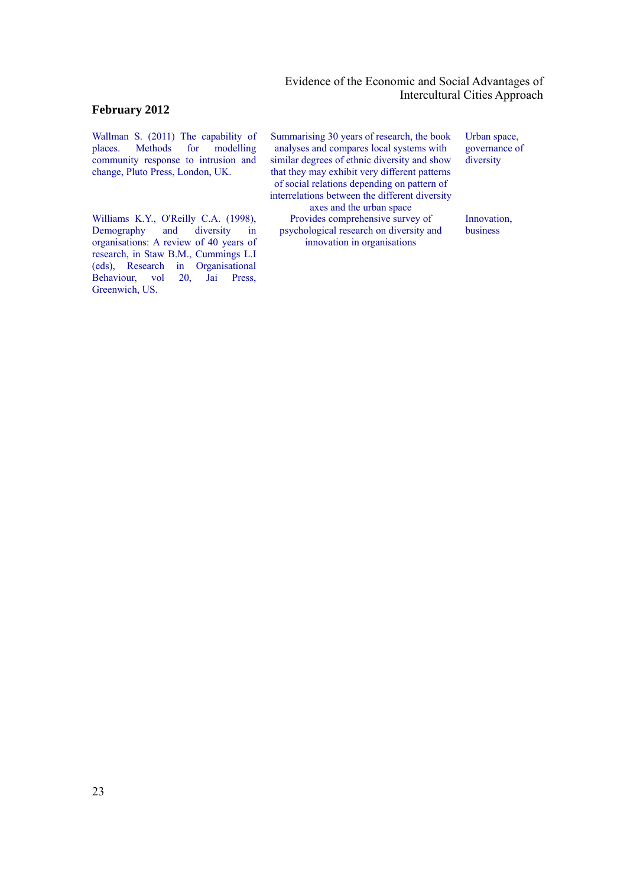# **February 2012**

Wallman S. (2011) The capability of places. Methods for modelling places. Methods for modelling community response to intrusion and change, Pluto Press, London, UK.

Williams K.Y., O'Reilly C.A. (1998), Demography and diversity in organisations: A review of 40 years of research, in Staw B.M., Cummings L.I (eds), Research in Organisational Behaviour, vol 20, Jai Press, Greenwich, US.

Summarising 30 years of research, the book analyses and compares local systems with similar degrees of ethnic diversity and show that they may exhibit very different patterns of social relations depending on pattern of interrelations between the different diversity

axes and the urban space Provides comprehensive survey of psychological research on diversity and innovation in organisations

Urban space, governance of diversity

Innovation, business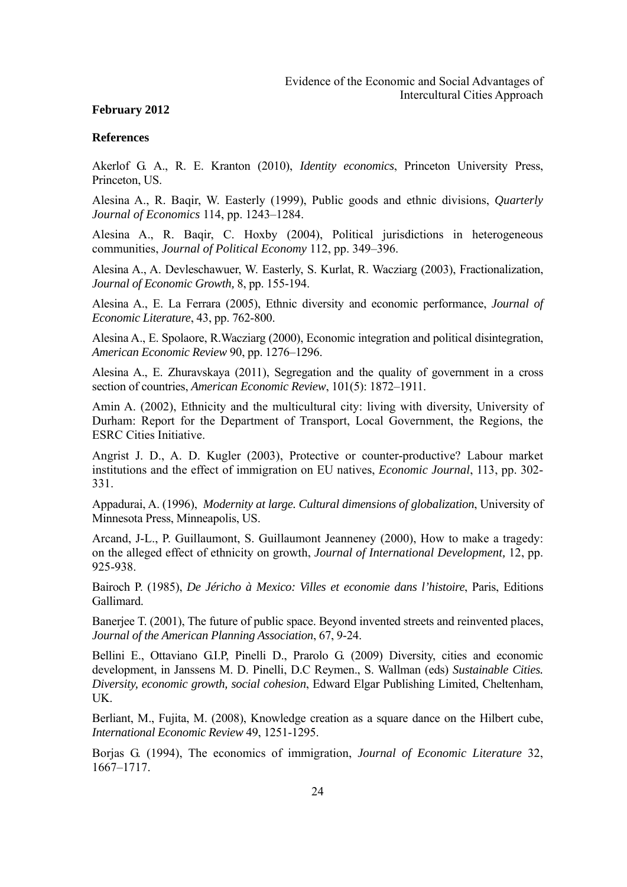#### **References**

Akerlof G. A., R. E. Kranton (2010), *Identity economics*, Princeton University Press, Princeton, US.

Alesina A., R. Baqir, W. Easterly (1999), Public goods and ethnic divisions, *Quarterly Journal of Economics* 114, pp. 1243–1284.

Alesina A., R. Baqir, C. Hoxby (2004), Political jurisdictions in heterogeneous communities, *Journal of Political Economy* 112, pp. 349–396.

Alesina A., A. Devleschawuer, W. Easterly, S. Kurlat, R. Wacziarg (2003), Fractionalization, *Journal of Economic Growth,* 8, pp. 155-194.

Alesina A., E. La Ferrara (2005), Ethnic diversity and economic performance, *Journal of Economic Literature*, 43, pp. 762-800.

Alesina A., E. Spolaore, R.Wacziarg (2000), Economic integration and political disintegration, *American Economic Review* 90, pp. 1276–1296.

Alesina A., E. Zhuravskaya (2011), Segregation and the quality of government in a cross section of countries, *American Economic Review*, 101(5): 1872–1911.

Amin A. (2002), Ethnicity and the multicultural city: living with diversity, University of Durham: Report for the Department of Transport, Local Government, the Regions, the ESRC Cities Initiative.

Angrist J. D., A. D. Kugler (2003), Protective or counter-productive? Labour market institutions and the effect of immigration on EU natives, *Economic Journal*, 113, pp. 302- 331.

Appadurai, A. (1996), *Modernity at large. Cultural dimensions of globalization*, University of Minnesota Press, Minneapolis, US.

Arcand, J-L., P. Guillaumont, S. Guillaumont Jeanneney (2000), How to make a tragedy: on the alleged effect of ethnicity on growth, *Journal of International Development,* 12, pp. 925-938.

Bairoch P. (1985), *De Jéricho à Mexico: Villes et economie dans l'histoire*, Paris, Editions Gallimard.

Banerjee T. (2001), The future of public space. Beyond invented streets and reinvented places, *Journal of the American Planning Association*, 67, 9-24.

Bellini E., Ottaviano G.I.P. Pinelli D., Prarolo G. (2009) Diversity, cities and economic development, in Janssens M. D. Pinelli, D.C Reymen., S. Wallman (eds) *Sustainable Cities. Diversity, economic growth, social cohesion*, Edward Elgar Publishing Limited, Cheltenham, UK.

Berliant, M., Fujita, M. (2008), Knowledge creation as a square dance on the Hilbert cube, *International Economic Review* 49, 1251-1295.

Borjas G. (1994), The economics of immigration, *Journal of Economic Literature* 32, 1667–1717.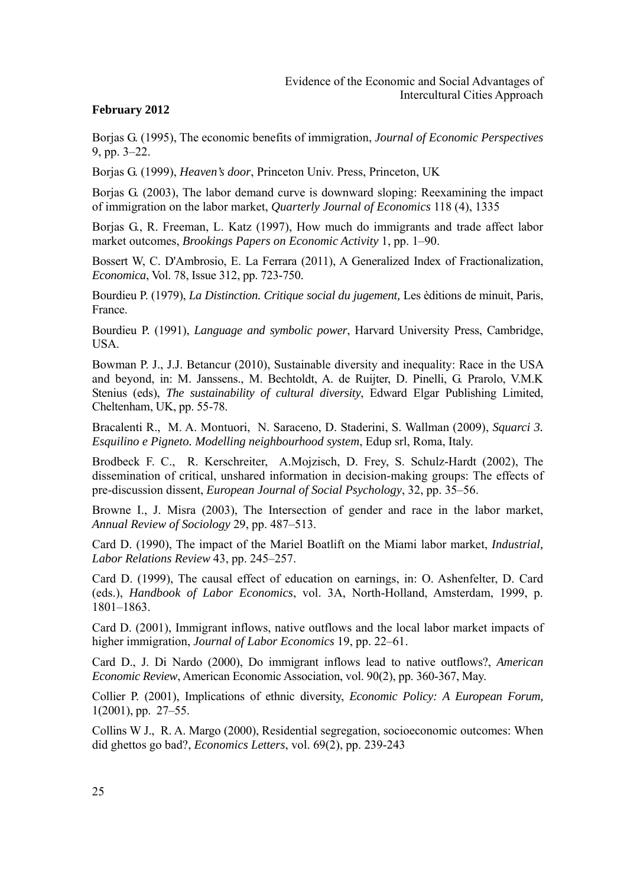Borjas G. (1995), The economic benefits of immigration, *Journal of Economic Perspectives* 9, pp. 3–22.

Borjas G. (1999), *Heaven's door*, Princeton Univ. Press, Princeton, UK

Borjas G. (2003), The labor demand curve is downward sloping: Reexamining the impact of immigration on the labor market, *Quarterly Journal of Economics* 118 (4), 1335

Borjas G., R. Freeman, L. Katz (1997). How much do immigrants and trade affect labor market outcomes, *Brookings Papers on Economic Activity* 1, pp. 1–90.

Bossert W, C. D'Ambrosio, E. La Ferrara (2011), A Generalized Index of Fractionalization, *Economica*, Vol. 78, Issue 312, pp. 723-750.

Bourdieu P. (1979), *La Distinction. Critique social du jugement,* Les èditions de minuit, Paris, France.

Bourdieu P. (1991), *Language and symbolic power*, Harvard University Press, Cambridge, USA.

Bowman P. J., J.J. Betancur (2010), Sustainable diversity and inequality: Race in the USA and beyond, in: M. Janssens., M. Bechtoldt, A. de Ruijter, D. Pinelli, G. Prarolo, V.M.K Stenius (eds), *The sustainability of cultural diversity*, Edward Elgar Publishing Limited, Cheltenham, UK, pp. 55-78.

Bracalenti R., M. A. Montuori, N. Saraceno, D. Staderini, S. Wallman (2009), *Squarci 3. Esquilino e Pigneto. Modelling neighbourhood system*, Edup srl, Roma, Italy.

Brodbeck F. C., R. Kerschreiter, A.Mojzisch, D. Frey, S. Schulz-Hardt (2002), The dissemination of critical, unshared information in decision-making groups: The effects of pre-discussion dissent, *European Journal of Social Psychology*, 32, pp. 35–56.

Browne I., J. Misra (2003), The Intersection of gender and race in the labor market, *Annual Review of Sociology* 29, pp. 487–513.

Card D. (1990), The impact of the Mariel Boatlift on the Miami labor market, *Industrial, Labor Relations Review* 43, pp. 245–257.

Card D. (1999), The causal effect of education on earnings, in: O. Ashenfelter, D. Card (eds.), *Handbook of Labor Economics*, vol. 3A, North-Holland, Amsterdam, 1999, p. 1801–1863.

Card D. (2001), Immigrant inflows, native outflows and the local labor market impacts of higher immigration, *Journal of Labor Economics* 19, pp. 22–61.

Card D., J. Di Nardo (2000), Do immigrant inflows lead to native outflows?, *American Economic Review*, American Economic Association, vol. 90(2), pp. 360-367, May.

Collier P. (2001), Implications of ethnic diversity, *Economic Policy: A European Forum,*  1(2001), pp. 27–55.

Collins W J., R. A. Margo (2000), Residential segregation, socioeconomic outcomes: When did ghettos go bad?, *Economics Letters*, vol. 69(2), pp. 239-243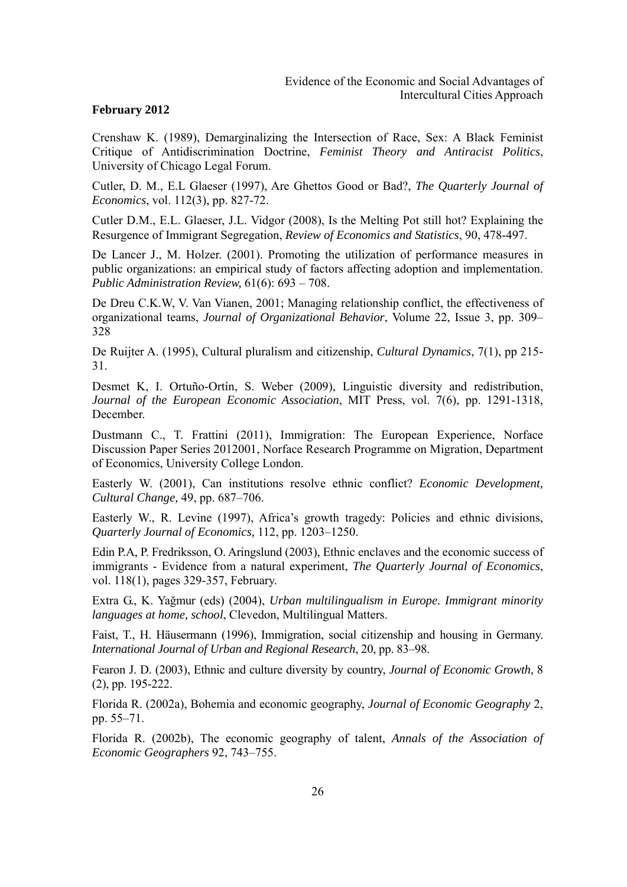Crenshaw K. (1989), Demarginalizing the Intersection of Race, Sex: A Black Feminist Critique of Antidiscrimination Doctrine, *Feminist Theory and Antiracist Politics*, University of Chicago Legal Forum.

Cutler, D. M., E.L Glaeser (1997), Are Ghettos Good or Bad?, *The Quarterly Journal of Economics*, vol. 112(3), pp. 827-72.

Cutler D.M., E.L. Glaeser, J.L. Vidgor (2008), Is the Melting Pot still hot? Explaining the Resurgence of Immigrant Segregation, *Review of Economics and Statistics*, 90, 478-497.

De Lancer J., M. Holzer. (2001). Promoting the utilization of performance measures in public organizations: an empirical study of factors affecting adoption and implementation. *Public Administration Review,* 61(6): 693 – 708.

De Dreu C.K.W, V. Van Vianen, 2001; Managing relationship conflict, the effectiveness of organizational teams, *Journal of Organizational Behavior*, Volume 22, Issue 3, pp. 309– 328

De Ruijter A. (1995), Cultural pluralism and citizenship, *Cultural Dynamics*, 7(1), pp 215- 31.

Desmet K, I. Ortuño-Ortín, S. Weber (2009), Linguistic diversity and redistribution, *Journal of the European Economic Association*, MIT Press, vol. 7(6), pp. 1291-1318, December.

Dustmann C., T. Frattini (2011), Immigration: The European Experience, Norface Discussion Paper Series 2012001, Norface Research Programme on Migration, Department of Economics, University College London.

Easterly W. (2001), Can institutions resolve ethnic conflict? *Economic Development, Cultural Change,* 49, pp. 687–706.

Easterly W., R. Levine (1997), Africa's growth tragedy: Policies and ethnic divisions, *Quarterly Journal of Economics,* 112, pp. 1203–1250.

Edin P.A, P. Fredriksson, O. Aringslund (2003), Ethnic enclaves and the economic success of immigrants - Evidence from a natural experiment, *The Quarterly Journal of Economics*, vol. 118(1), pages 329-357, February.

Extra G., K. Yağmur (eds) (2004), *Urban multilingualism in Europe. Immigrant minority languages at home, school*, Clevedon, Multilingual Matters.

Faist, T., H. Häusermann (1996), Immigration, social citizenship and housing in Germany. *International Journal of Urban and Regional Research*, 20, pp. 83–98.

Fearon J. D. (2003), Ethnic and culture diversity by country, *Journal of Economic Growth*, 8 (2), pp. 195-222.

Florida R. (2002a), Bohemia and economic geography, *Journal of Economic Geography* 2, pp. 55–71.

Florida R. (2002b), The economic geography of talent, *Annals of the Association of Economic Geographers* 92, 743–755.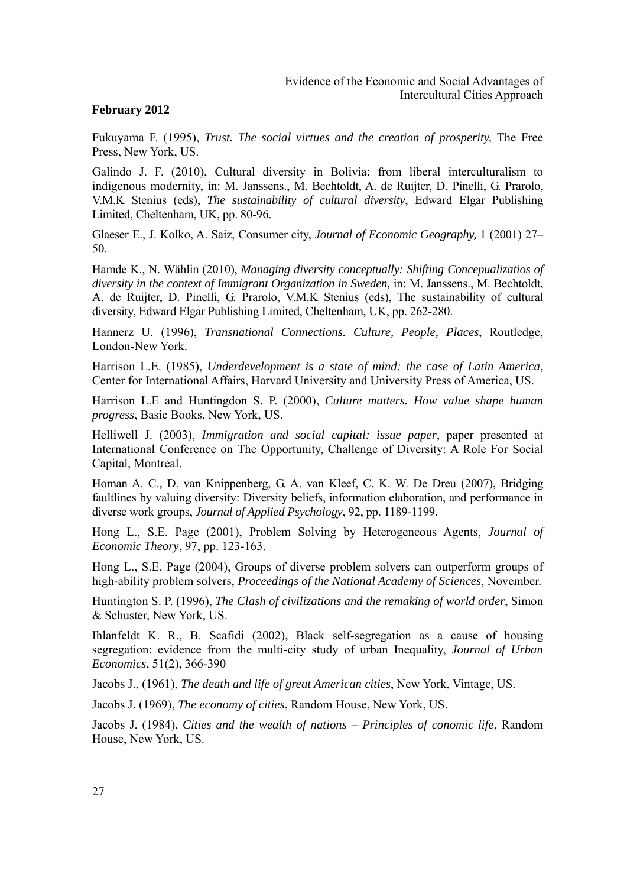Fukuyama F. (1995), *Trust. The social virtues and the creation of prosperity,* The Free Press, New York, US.

Galindo J. F. (2010), Cultural diversity in Bolivia: from liberal interculturalism to indigenous modernity, in: M. Janssens., M. Bechtoldt, A. de Ruijter, D. Pinelli, G. Prarolo, V.M.K Stenius (eds), *The sustainability of cultural diversity*, Edward Elgar Publishing Limited, Cheltenham, UK, pp. 80-96.

Glaeser E., J. Kolko, A. Saiz, Consumer city, *Journal of Economic Geography,* 1 (2001) 27– 50.

Hamde K., N. Wählin (2010), *Managing diversity conceptually: Shifting Concepualizatios of diversity in the context of Immigrant Organization in Sweden,* in: M. Janssens., M. Bechtoldt, A. de Ruijter, D. Pinelli, G. Prarolo, V.M.K Stenius (eds), The sustainability of cultural diversity, Edward Elgar Publishing Limited, Cheltenham, UK, pp. 262-280.

Hannerz U. (1996), *Transnational Connections. Culture, People, Places*, Routledge, London-New York.

Harrison L.E. (1985), *Underdevelopment is a state of mind: the case of Latin America*, Center for International Affairs, Harvard University and University Press of America, US.

Harrison L.E and Huntingdon S. P. (2000), *Culture matters. How value shape human progress*, Basic Books, New York, US.

Helliwell J. (2003), *Immigration and social capital: issue paper*, paper presented at International Conference on The Opportunity, Challenge of Diversity: A Role For Social Capital, Montreal.

Homan A. C., D. van Knippenberg, G. A. van Kleef, C. K. W. De Dreu (2007), Bridging faultlines by valuing diversity: Diversity beliefs, information elaboration, and performance in diverse work groups, *Journal of Applied Psychology*, 92, pp. 1189-1199.

Hong L., S.E. Page (2001), Problem Solving by Heterogeneous Agents, *Journal of Economic Theory*, 97, pp. 123-163.

Hong L., S.E. Page (2004), Groups of diverse problem solvers can outperform groups of high-ability problem solvers, *Proceedings of the National Academy of Sciences*, November.

Huntington S. P. (1996), *The Clash of civilizations and the remaking of world order*, Simon & Schuster, New York, US.

Ihlanfeldt K. R., B. Scafidi (2002), Black self-segregation as a cause of housing segregation: evidence from the multi-city study of urban Inequality, *Journal of Urban Economics*, 51(2), 366-390

Jacobs J., (1961), *The death and life of great American cities*, New York, Vintage, US.

Jacobs J. (1969), *The economy of cities*, Random House, New York, US.

Jacobs J. (1984), *Cities and the wealth of nations – Principles of conomic life*, Random House, New York, US.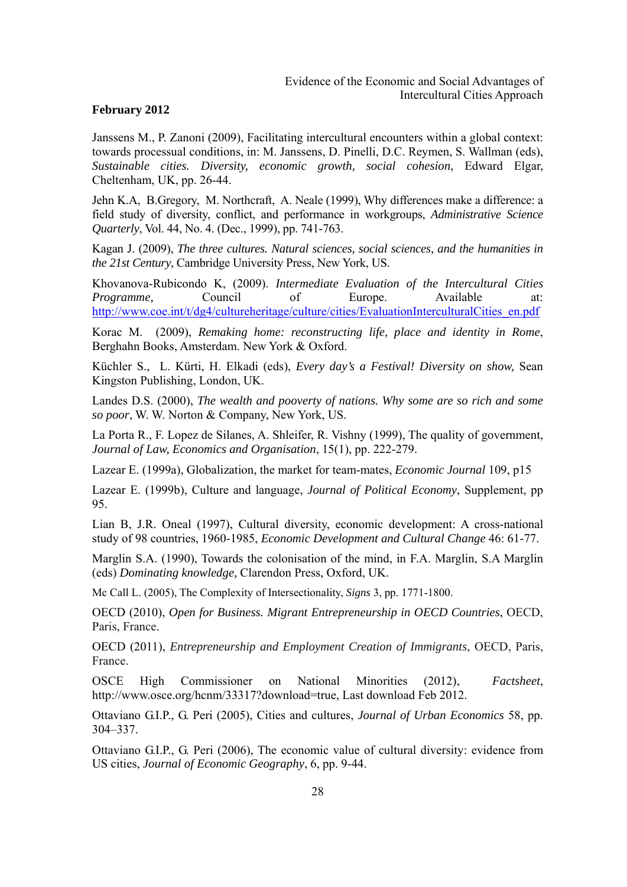Janssens M., P. Zanoni (2009), Facilitating intercultural encounters within a global context: towards processual conditions, in: M. Janssens, D. Pinelli, D.C. Reymen, S. Wallman (eds), *Sustainable cities. Diversity, economic growth, social cohesion*, Edward Elgar, Cheltenham, UK, pp. 26-44.

Jehn K.A, B.Gregory, M. Northcraft, A. Neale (1999), Why differences make a difference: a field study of diversity, conflict, and performance in workgroups, *Administrative Science Quarterly*, Vol. 44, No. 4. (Dec., 1999), pp. 741-763.

Kagan J. (2009), *The three cultures. Natural sciences, social sciences, and the humanities in the 21st Century*, Cambridge University Press, New York, US.

Khovanova-Rubicondo K, (2009). *Intermediate Evaluation of the Intercultural Cities Programme,* Council of Europe. Available at: http://www.coe.int/t/dg4/cultureheritage/culture/cities/EvaluationInterculturalCities\_en.pdf

Korac M. (2009), *Remaking home: reconstructing life, place and identity in Rome*, Berghahn Books, Amsterdam. New York & Oxford.

Küchler S., L. Kürti, H. Elkadi (eds), *Every day's a Festival! Diversity on show,* Sean Kingston Publishing, London, UK.

Landes D.S. (2000), *The wealth and pooverty of nations. Why some are so rich and some so poor*, W. W. Norton & Company, New York, US.

La Porta R., F. Lopez de Silanes, A. Shleifer, R. Vishny (1999), The quality of government, *Journal of Law, Economics and Organisation*, 15(1), pp. 222-279.

Lazear E. (1999a), Globalization, the market for team-mates, *Economic Journal* 109, p15

Lazear E. (1999b), Culture and language, *Journal of Political Economy*, Supplement, pp 95.

Lian B, J.R. Oneal (1997), Cultural diversity, economic development: A cross-national study of 98 countries, 1960-1985, *Economic Development and Cultural Change* 46: 61-77.

Marglin S.A. (1990), Towards the colonisation of the mind, in F.A. Marglin, S.A Marglin (eds) *Dominating knowledge,* Clarendon Press, Oxford, UK.

Mc Call L. (2005), The Complexity of Intersectionality, *Signs* 3, pp. 1771-1800.

OECD (2010), *Open for Business. Migrant Entrepreneurship in OECD Countries*, OECD, Paris, France.

OECD (2011), *Entrepreneurship and Employment Creation of Immigrants*, OECD, Paris, France.

OSCE High Commissioner on National Minorities (2012), *Factsheet*, http://www.osce.org/hcnm/33317?download=true, Last download Feb 2012.

Ottaviano G.I.P., G. Peri (2005), Cities and cultures, *Journal of Urban Economics* 58, pp. 304–337.

Ottaviano G.I.P., G. Peri (2006), The economic value of cultural diversity: evidence from US cities, *Journal of Economic Geography*, 6, pp. 9-44.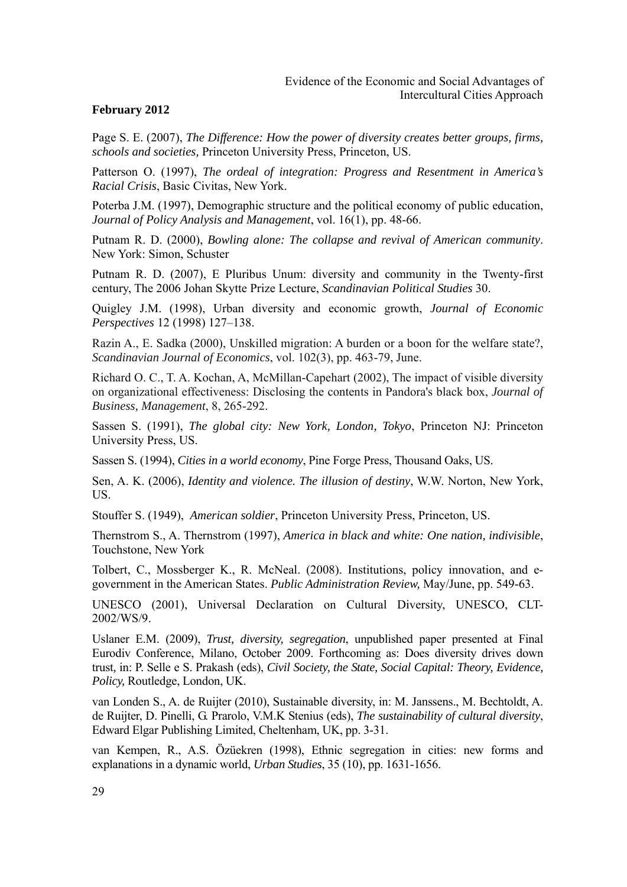Page S. E. (2007), *The Difference: How the power of diversity creates better groups, firms, schools and societies,* Princeton University Press, Princeton, US.

Patterson O. (1997), *The ordeal of integration: Progress and Resentment in America's Racial Crisis*, Basic Civitas, New York.

Poterba J.M. (1997), Demographic structure and the political economy of public education, *Journal of Policy Analysis and Management*, vol. 16(1), pp. 48-66.

Putnam R. D. (2000), *Bowling alone: The collapse and revival of American community*. New York: Simon, Schuster

Putnam R. D. (2007), E Pluribus Unum: diversity and community in the Twenty-first century, The 2006 Johan Skytte Prize Lecture, *Scandinavian Political Studies* 30.

Quigley J.M. (1998), Urban diversity and economic growth, *Journal of Economic Perspectives* 12 (1998) 127–138.

Razin A., E. Sadka (2000), Unskilled migration: A burden or a boon for the welfare state?, *Scandinavian Journal of Economics*, vol. 102(3), pp. 463-79, June.

Richard O. C., T. A. Kochan, A, McMillan-Capehart (2002), The impact of visible diversity on organizational effectiveness: Disclosing the contents in Pandora's black box, *Journal of Business, Management*, 8, 265-292.

Sassen S. (1991), *The global city: New York, London, Tokyo*, Princeton NJ: Princeton University Press, US.

Sassen S. (1994), *Cities in a world economy*, Pine Forge Press, Thousand Oaks, US.

Sen, A. K. (2006), *Identity and violence. The illusion of destiny*, W.W. Norton, New York, US.

Stouffer S. (1949), *American soldier*, Princeton University Press, Princeton, US.

Thernstrom S., A. Thernstrom (1997), *America in black and white: One nation, indivisible*, Touchstone, New York

Tolbert, C., Mossberger K., R. McNeal. (2008). Institutions, policy innovation, and egovernment in the American States. *Public Administration Review,* May/June, pp. 549-63.

UNESCO (2001), Universal Declaration on Cultural Diversity, UNESCO, CLT-2002/WS/9.

Uslaner E.M. (2009), *Trust, diversity, segregation*, unpublished paper presented at Final Eurodiv Conference, Milano, October 2009. Forthcoming as: Does diversity drives down trust*,* in: P. Selle e S. Prakash (eds), *Civil Society, the State, Social Capital: Theory, Evidence, Policy,* Routledge, London, UK.

van Londen S., A. de Ruijter (2010), Sustainable diversity, in: M. Janssens., M. Bechtoldt, A. de Ruijter, D. Pinelli, G. Prarolo, V.M.K Stenius (eds), *The sustainability of cultural diversity*, Edward Elgar Publishing Limited, Cheltenham, UK, pp. 3-31.

van Kempen, R., A.S. Özüekren (1998), Ethnic segregation in cities: new forms and explanations in a dynamic world, *Urban Studies*, 35 (10), pp. 1631-1656.